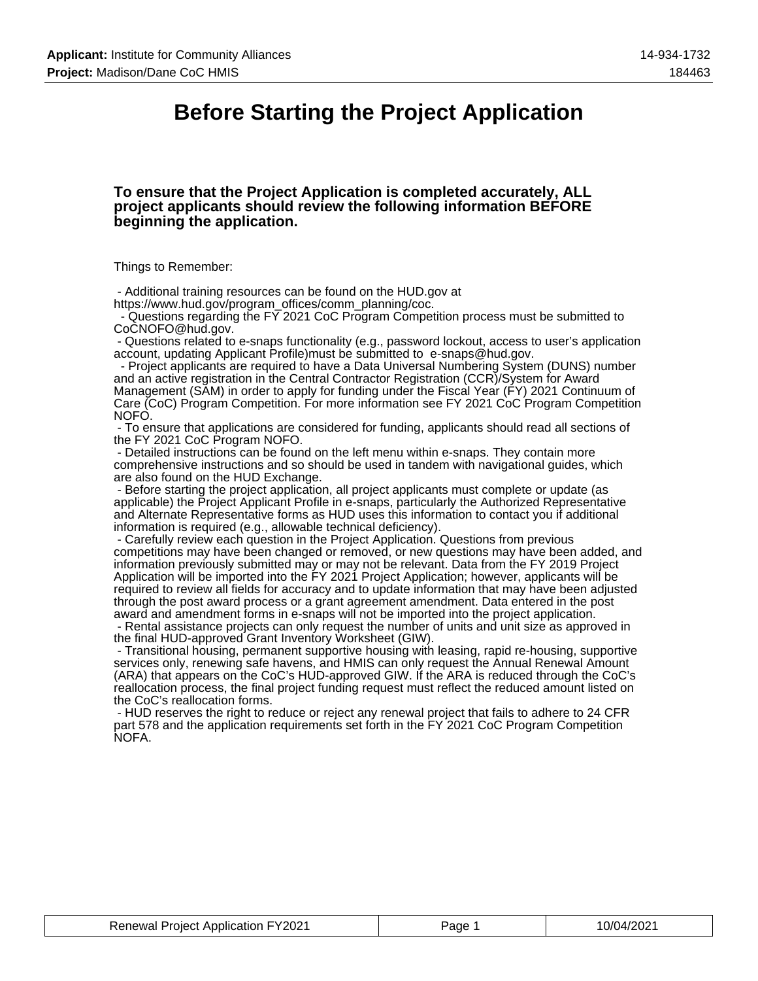## **Before Starting the Project Application**

### **To ensure that the Project Application is completed accurately, ALL project applicants should review the following information BEFORE beginning the application.**

Things to Remember:

 - Additional training resources can be found on the HUD.gov at https://www.hud.gov/program\_offices/comm\_planning/coc.

 - Questions regarding the FY 2021 CoC Program Competition process must be submitted to CoCNOFO@hud.gov.

 - Questions related to e-snaps functionality (e.g., password lockout, access to user's application account, updating Applicant Profile)must be submitted to e-snaps@hud.gov.

 - Project applicants are required to have a Data Universal Numbering System (DUNS) number and an active registration in the Central Contractor Registration (CCR)/System for Award Management (SAM) in order to apply for funding under the Fiscal Year (FY) 2021 Continuum of Care (CoC) Program Competition. For more information see FY 2021 CoC Program Competition NOFO.

 - To ensure that applications are considered for funding, applicants should read all sections of the FY 2021 CoC Program NOFO.

 - Detailed instructions can be found on the left menu within e-snaps. They contain more comprehensive instructions and so should be used in tandem with navigational guides, which are also found on the HUD Exchange.

 - Before starting the project application, all project applicants must complete or update (as applicable) the Project Applicant Profile in e-snaps, particularly the Authorized Representative and Alternate Representative forms as HUD uses this information to contact you if additional information is required (e.g., allowable technical deficiency).

 - Carefully review each question in the Project Application. Questions from previous competitions may have been changed or removed, or new questions may have been added, and information previously submitted may or may not be relevant. Data from the FY 2019 Project Application will be imported into the FY 2021 Project Application; however, applicants will be required to review all fields for accuracy and to update information that may have been adjusted through the post award process or a grant agreement amendment. Data entered in the post award and amendment forms in e-snaps will not be imported into the project application.

 - Rental assistance projects can only request the number of units and unit size as approved in the final HUD-approved Grant Inventory Worksheet (GIW).

 - Transitional housing, permanent supportive housing with leasing, rapid re-housing, supportive services only, renewing safe havens, and HMIS can only request the Annual Renewal Amount (ARA) that appears on the CoC's HUD-approved GIW. If the ARA is reduced through the CoC's reallocation process, the final project funding request must reflect the reduced amount listed on the CoC's reallocation forms.

 - HUD reserves the right to reduce or reject any renewal project that fails to adhere to 24 CFR part 578 and the application requirements set forth in the FY 2021 CoC Program Competition NOFA.

| <b>Renewal Project Application FY2021</b> | Page | 10/04/2021 |
|-------------------------------------------|------|------------|
|-------------------------------------------|------|------------|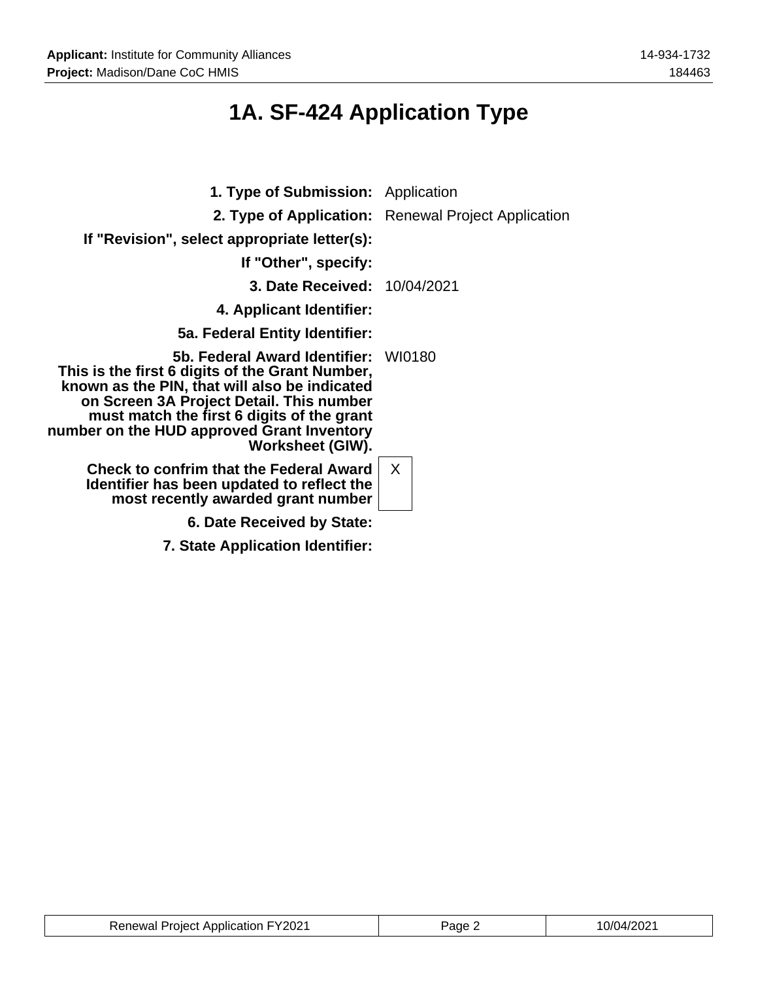# **1A. SF-424 Application Type**

| <b>1. Type of Submission:</b> Application                                                                                                                                                                                                                                                     |                                                     |
|-----------------------------------------------------------------------------------------------------------------------------------------------------------------------------------------------------------------------------------------------------------------------------------------------|-----------------------------------------------------|
|                                                                                                                                                                                                                                                                                               | 2. Type of Application: Renewal Project Application |
| If "Revision", select appropriate letter(s):                                                                                                                                                                                                                                                  |                                                     |
| If "Other", specify:                                                                                                                                                                                                                                                                          |                                                     |
| <b>3. Date Received: 10/04/2021</b>                                                                                                                                                                                                                                                           |                                                     |
| 4. Applicant Identifier:                                                                                                                                                                                                                                                                      |                                                     |
| 5a. Federal Entity Identifier:                                                                                                                                                                                                                                                                |                                                     |
| 5b. Federal Award Identifier:<br>This is the first 6 digits of the Grant Number,<br>known as the PIN, that will also be indicated<br>on Screen 3A Project Detail. This number<br>must match the first 6 digits of the grant<br>number on the HUD approved Grant Inventory<br>Worksheet (GIW). | - WI0180                                            |
| <b>Check to confrim that the Federal Award</b><br>Identifier has been updated to reflect the<br>most recently awarded grant number                                                                                                                                                            | $\mathsf{X}$                                        |
| 6. Date Received by State:                                                                                                                                                                                                                                                                    |                                                     |
| 7. State Application Identifier:                                                                                                                                                                                                                                                              |                                                     |

| <b>Renewal Project Application FY2021</b> | Page 2 | 10/04/2021 |
|-------------------------------------------|--------|------------|
|-------------------------------------------|--------|------------|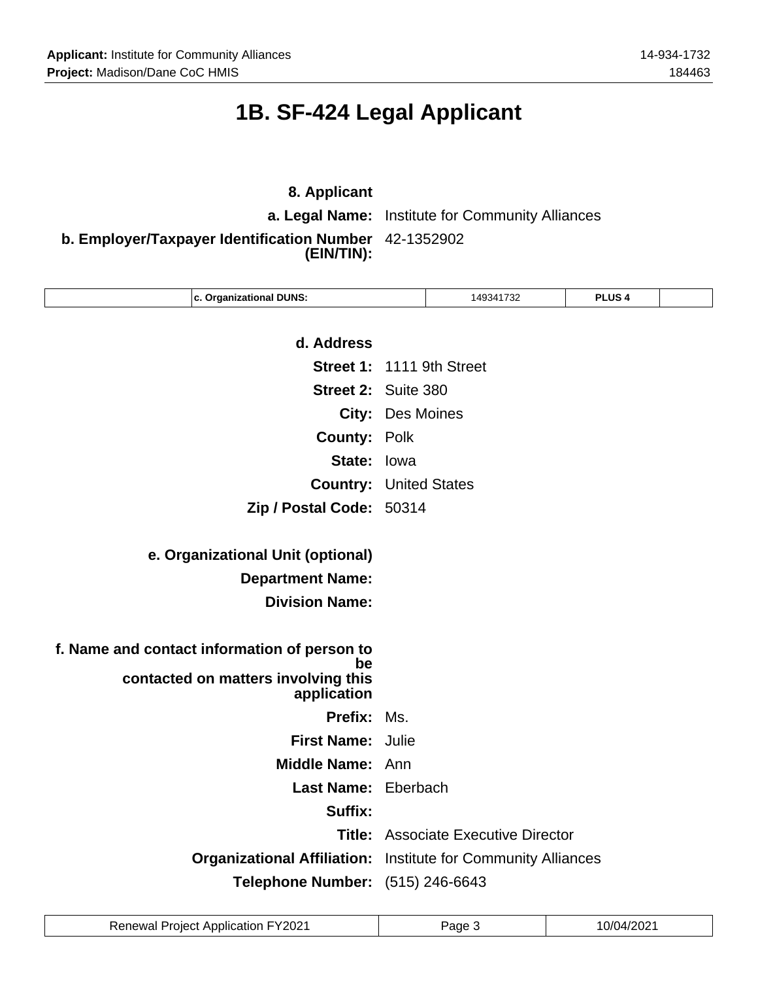# **1B. SF-424 Legal Applicant**

## **8. Applicant**

**a. Legal Name:** Institute for Community Alliances

**b. Employer/Taxpayer Identification Number** 42-1352902 **(EIN/TIN):**

| c. Organizational DUNS:                                              |                  | 149341732                           | PLUS <sub>4</sub> |  |
|----------------------------------------------------------------------|------------------|-------------------------------------|-------------------|--|
|                                                                      |                  |                                     |                   |  |
| d. Address                                                           |                  |                                     |                   |  |
| Street 1: 1111 9th Street                                            |                  |                                     |                   |  |
| <b>Street 2: Suite 380</b>                                           |                  |                                     |                   |  |
|                                                                      | City: Des Moines |                                     |                   |  |
| <b>County: Polk</b>                                                  |                  |                                     |                   |  |
| State: lowa                                                          |                  |                                     |                   |  |
| <b>Country: United States</b>                                        |                  |                                     |                   |  |
| Zip / Postal Code: 50314                                             |                  |                                     |                   |  |
|                                                                      |                  |                                     |                   |  |
| e. Organizational Unit (optional)                                    |                  |                                     |                   |  |
| <b>Department Name:</b>                                              |                  |                                     |                   |  |
| <b>Division Name:</b>                                                |                  |                                     |                   |  |
|                                                                      |                  |                                     |                   |  |
| f. Name and contact information of person to<br>be                   |                  |                                     |                   |  |
| contacted on matters involving this                                  |                  |                                     |                   |  |
| application                                                          |                  |                                     |                   |  |
| Prefix: Ms.                                                          |                  |                                     |                   |  |
| <b>First Name: Julie</b>                                             |                  |                                     |                   |  |
| <b>Middle Name:</b>                                                  | Ann              |                                     |                   |  |
| Last Name: Eberbach                                                  |                  |                                     |                   |  |
| Suffix:                                                              |                  |                                     |                   |  |
| Title:                                                               |                  | <b>Associate Executive Director</b> |                   |  |
| <b>Organizational Affiliation:</b> Institute for Community Alliances |                  |                                     |                   |  |
| Telephone Number: (515) 246-6643                                     |                  |                                     |                   |  |

| <b>Renewal Project Application FY2021</b> | Page 3 | 10/04/2021 |
|-------------------------------------------|--------|------------|
|-------------------------------------------|--------|------------|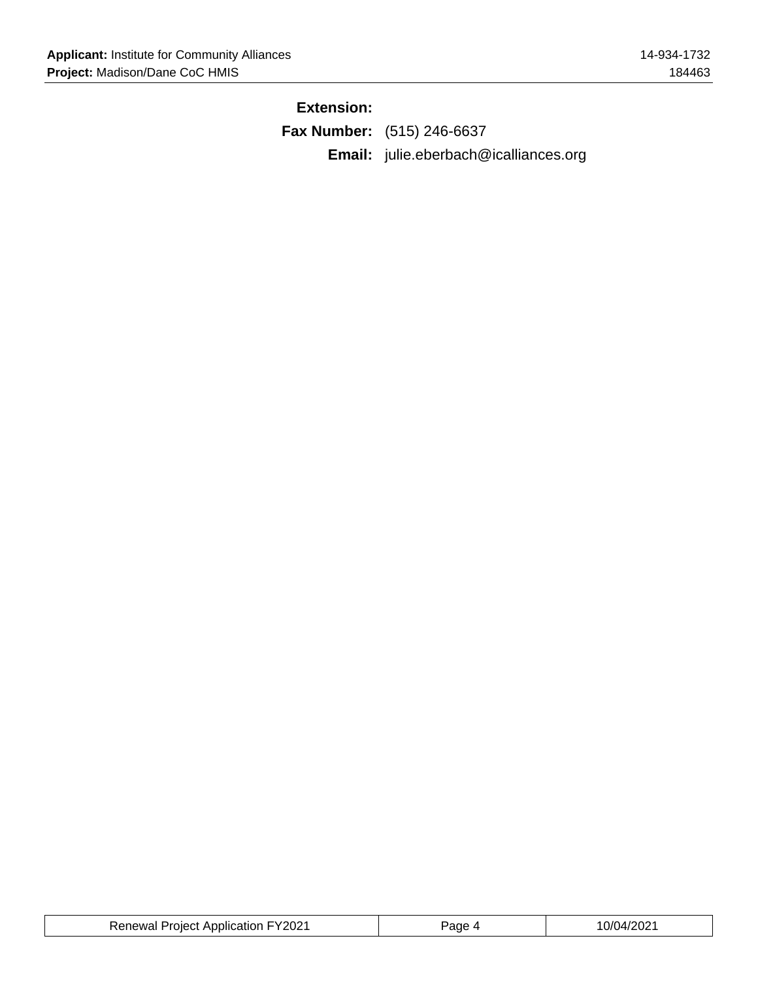### **Extension:**

**Fax Number:** (515) 246-6637 **Email:** julie.eberbach@icalliances.org

| <b>Renewal Project Application FY2021</b> | Page 4 | 10/04/2021 |
|-------------------------------------------|--------|------------|
|-------------------------------------------|--------|------------|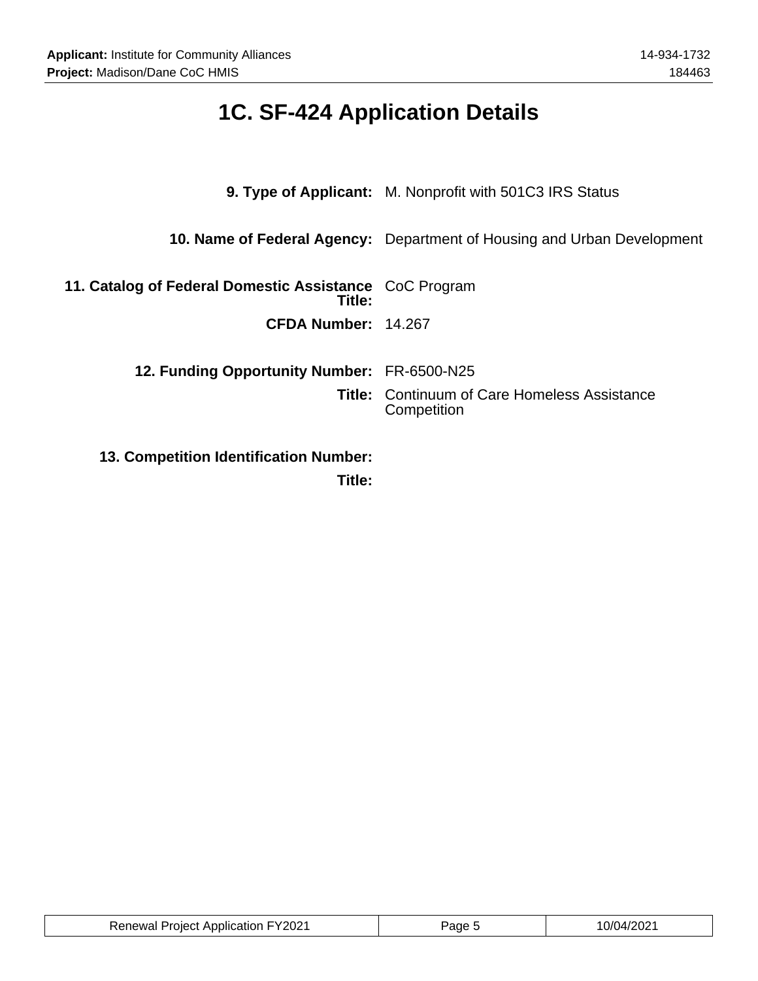# **1C. SF-424 Application Details**

| 9. Type of Applicant: M. Nonprofit with 501C3 IRS Status                |  |
|-------------------------------------------------------------------------|--|
| 10. Name of Federal Agency: Department of Housing and Urban Development |  |
| 11. Catalog of Federal Domestic Assistance CoC Program                  |  |
| CFDA Number: 14.267                                                     |  |
| 12. Funding Opportunity Number: FR-6500-N25                             |  |
| <b>Title: Continuum of Care Homeless Assistance</b><br>Competition      |  |
|                                                                         |  |
|                                                                         |  |

**Title:**

| <b>Coulon FY2021</b><br><b>Project Application</b><br>Renewal | ane | $\mathbf{A}$<br>. |
|---------------------------------------------------------------|-----|-------------------|
|---------------------------------------------------------------|-----|-------------------|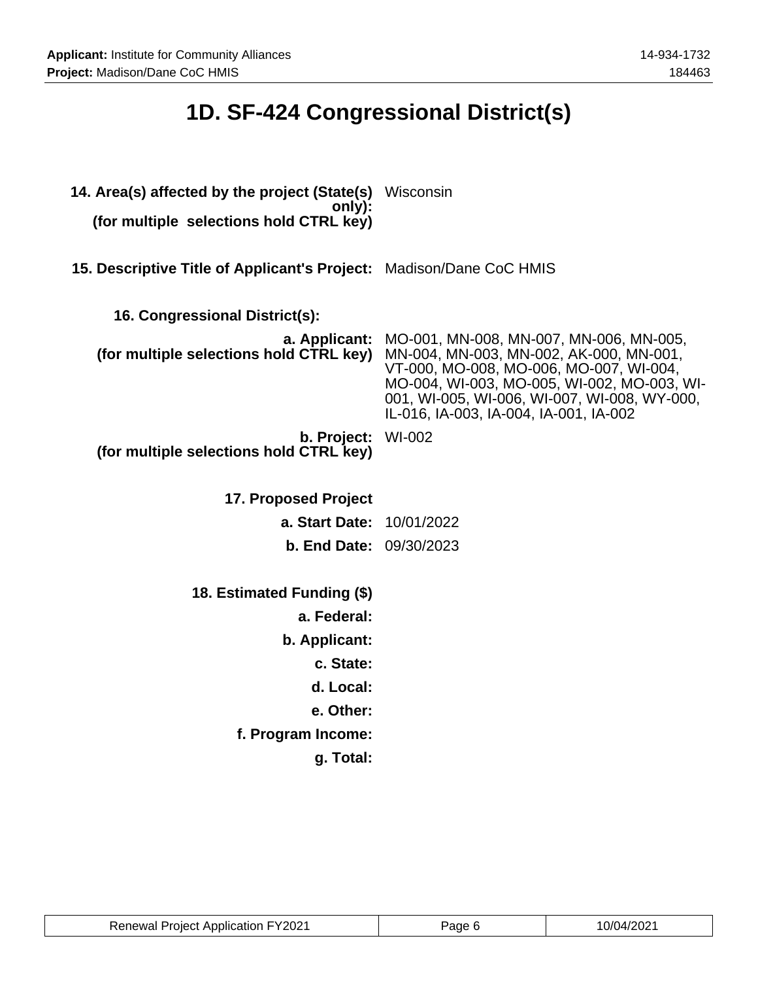# **1D. SF-424 Congressional District(s)**

| 14. Area(s) affected by the project (State(s) Wisconsin<br>only):<br>(for multiple selections hold CTRL key) |                                                                                                                                                                                                                                                                        |
|--------------------------------------------------------------------------------------------------------------|------------------------------------------------------------------------------------------------------------------------------------------------------------------------------------------------------------------------------------------------------------------------|
| 15. Descriptive Title of Applicant's Project: Madison/Dane CoC HMIS                                          |                                                                                                                                                                                                                                                                        |
| 16. Congressional District(s):                                                                               |                                                                                                                                                                                                                                                                        |
| a. Applicant:<br>(for multiple selections hold CTRL key)                                                     | MO-001, MN-008, MN-007, MN-006, MN-005,<br>MN-004, MN-003, MN-002, AK-000, MN-001,<br>VT-000, MO-008, MO-006, MO-007, WI-004,<br>MO-004, WI-003, MO-005, WI-002, MO-003, WI-<br>001, WI-005, WI-006, WI-007, WI-008, WY-000,<br>IL-016, IA-003, IA-004, IA-001, IA-002 |
| b. Project: WI-002<br>(for multiple selections hold CTRL key)                                                |                                                                                                                                                                                                                                                                        |
| 17. Proposed Project                                                                                         |                                                                                                                                                                                                                                                                        |
| a. Start Date: 10/01/2022                                                                                    |                                                                                                                                                                                                                                                                        |
| <b>b. End Date: 09/30/2023</b>                                                                               |                                                                                                                                                                                                                                                                        |
| 18. Estimated Funding (\$)                                                                                   |                                                                                                                                                                                                                                                                        |
| a. Federal:                                                                                                  |                                                                                                                                                                                                                                                                        |
| b. Applicant:                                                                                                |                                                                                                                                                                                                                                                                        |
| c. State:                                                                                                    |                                                                                                                                                                                                                                                                        |
| d. Local:                                                                                                    |                                                                                                                                                                                                                                                                        |
| e. Other:                                                                                                    |                                                                                                                                                                                                                                                                        |
| f. Program Income:                                                                                           |                                                                                                                                                                                                                                                                        |
| g. Total:                                                                                                    |                                                                                                                                                                                                                                                                        |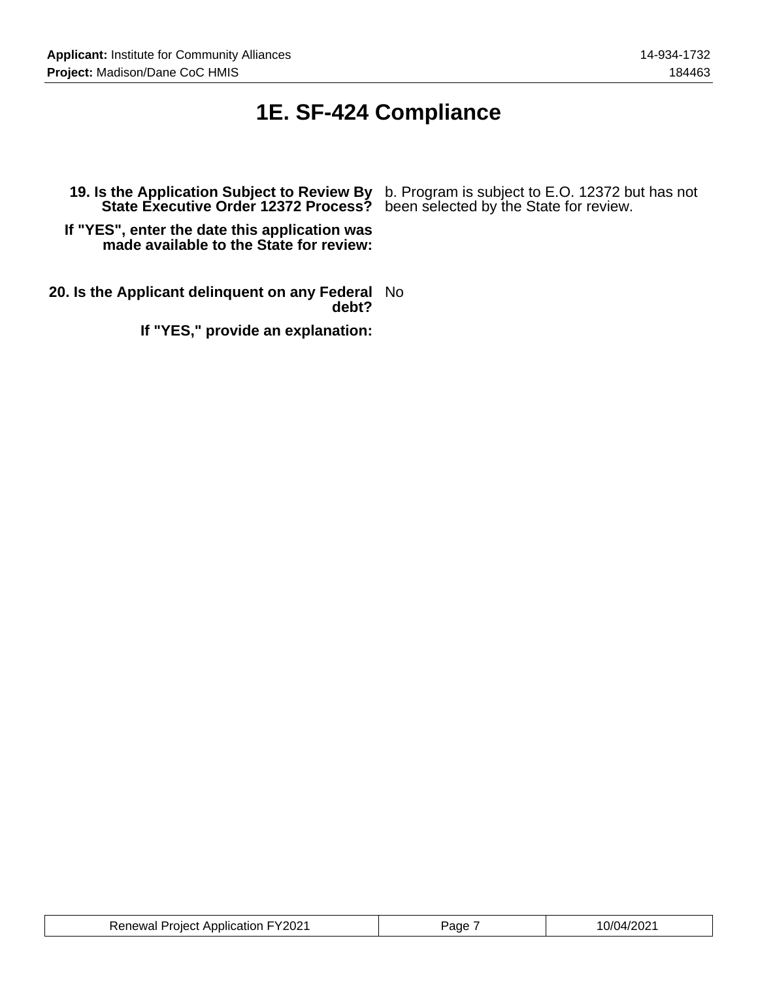## **1E. SF-424 Compliance**

**State Executive Order 12372 Process?** been selected by the State for review.

**19. Is the Application Subject to Review By** b. Program is subject to E.O. 12372 but has not

**If "YES", enter the date this application was made available to the State for review:**

**20. Is the Applicant delinquent on any Federal** No **debt?**

**If "YES," provide an explanation:**

| <b>Renewal Project Application FY2021</b> | Page | 10/04/2021 |
|-------------------------------------------|------|------------|
|-------------------------------------------|------|------------|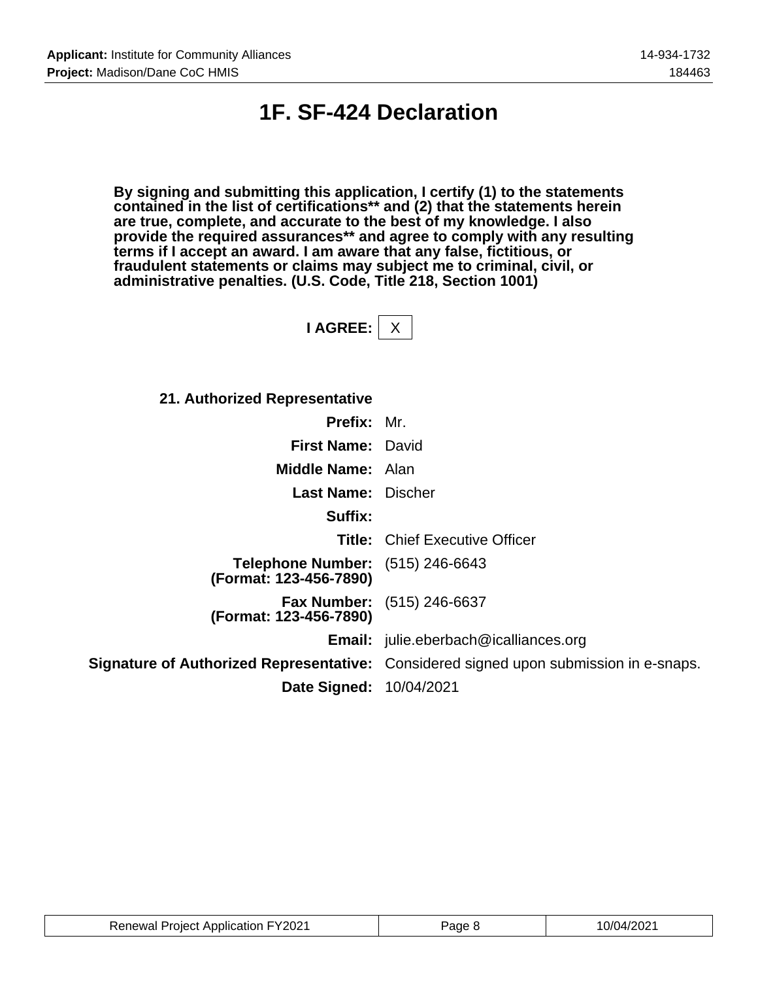## **1F. SF-424 Declaration**

**By signing and submitting this application, I certify (1) to the statements contained in the list of certifications\*\* and (2) that the statements herein are true, complete, and accurate to the best of my knowledge. I also provide the required assurances\*\* and agree to comply with any resulting terms if I accept an award. I am aware that any false, fictitious, or fraudulent statements or claims may subject me to criminal, civil, or administrative penalties. (U.S. Code, Title 218, Section 1001)**

**I AGREE:** X

**21. Authorized Representative**

| <b>Prefix: Mr.</b>                                         |                                                                                              |
|------------------------------------------------------------|----------------------------------------------------------------------------------------------|
| <b>First Name: David</b>                                   |                                                                                              |
| <b>Middle Name: Alan</b>                                   |                                                                                              |
| <b>Last Name: Discher</b>                                  |                                                                                              |
| Suffix:                                                    |                                                                                              |
|                                                            | <b>Title:</b> Chief Executive Officer                                                        |
| Telephone Number: (515) 246-6643<br>(Format: 123-456-7890) |                                                                                              |
| (Format: 123-456-7890)                                     | Fax Number: (515) 246-6637                                                                   |
|                                                            | <b>Email:</b> julie.eberbach@icalliances.org                                                 |
|                                                            | <b>Signature of Authorized Representative:</b> Considered signed upon submission in e-snaps. |
| Date Signed: 10/04/2021                                    |                                                                                              |

| <b>Renewal Project Application FY2021</b> | Page 8 | 10/04/2021 |
|-------------------------------------------|--------|------------|
|-------------------------------------------|--------|------------|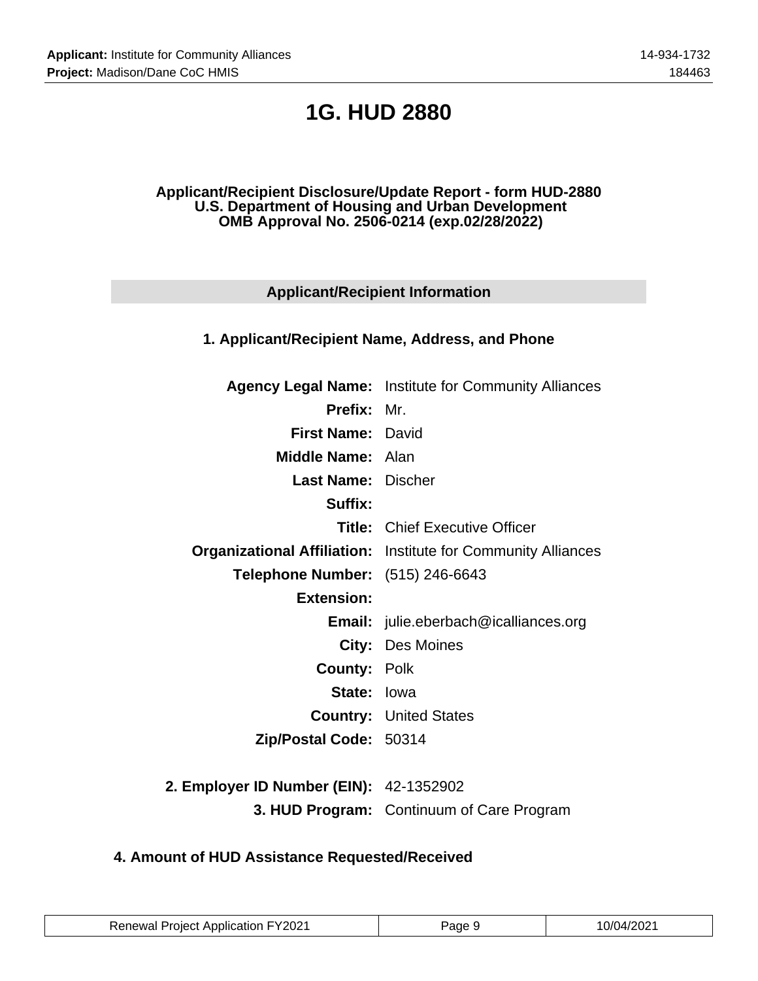# **1G. HUD 2880**

### **Applicant/Recipient Disclosure/Update Report - form HUD-2880 U.S. Department of Housing and Urban Development OMB Approval No. 2506-0214 (exp.02/28/2022)**

### **Applicant/Recipient Information**

### **1. Applicant/Recipient Name, Address, and Phone**

|                                           | <b>Agency Legal Name:</b> Institute for Community Alliances          |
|-------------------------------------------|----------------------------------------------------------------------|
| <b>Prefix: Mr.</b>                        |                                                                      |
| First Name: David                         |                                                                      |
| <b>Middle Name: Alan</b>                  |                                                                      |
| Last Name: Discher                        |                                                                      |
| Suffix:                                   |                                                                      |
|                                           | <b>Title: Chief Executive Officer</b>                                |
|                                           | <b>Organizational Affiliation:</b> Institute for Community Alliances |
| Telephone Number: (515) 246-6643          |                                                                      |
| <b>Extension:</b>                         |                                                                      |
|                                           | <b>Email:</b> julie.eberbach@icalliances.org                         |
|                                           | <b>City: Des Moines</b>                                              |
| <b>County: Polk</b>                       |                                                                      |
| <b>State: lowa</b>                        |                                                                      |
|                                           | <b>Country: United States</b>                                        |
| Zip/Postal Code: 50314                    |                                                                      |
|                                           |                                                                      |
| mployer ID Number (EIN): $\angle$ 4252002 |                                                                      |

**2. Employer ID Number (EIN):** 42-1352902 **3. HUD Program:** Continuum of Care Program

### **4. Amount of HUD Assistance Requested/Received**

| <b>Renewal Project Application FY2021</b> | Page 9 | 10/04/2021 |
|-------------------------------------------|--------|------------|
|-------------------------------------------|--------|------------|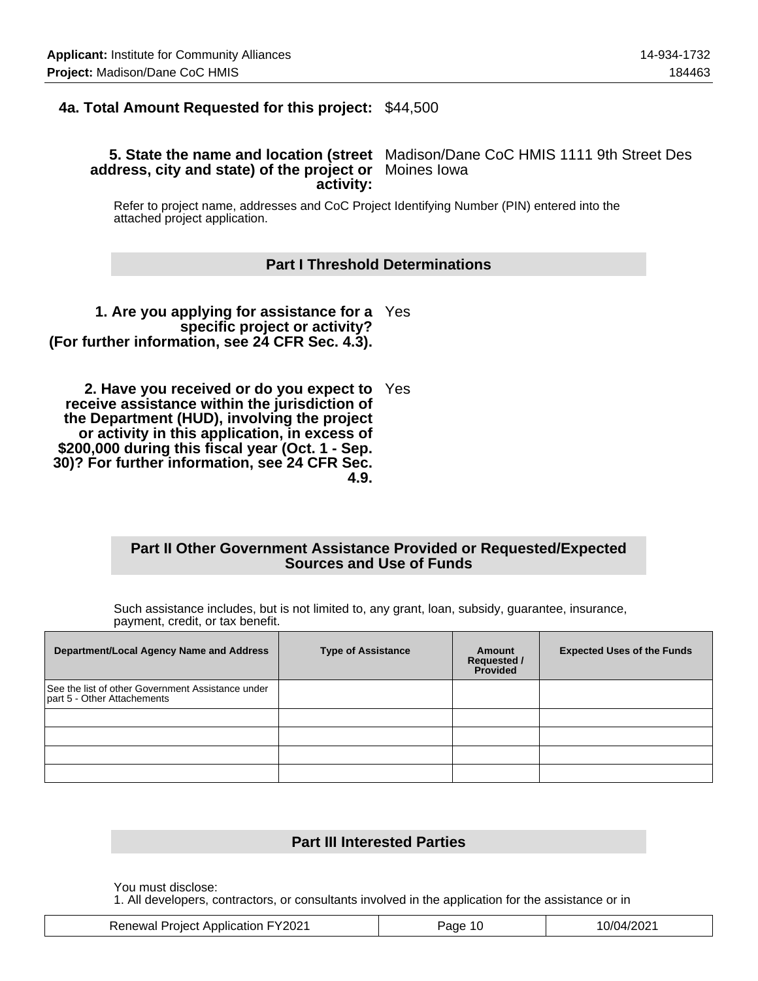### **4a. Total Amount Requested for this project:** \$44,500

#### **5. State the name and location (street** Madison/Dane CoC HMIS 1111 9th Street Des **address, city and state) of the project or activity:** Moines Iowa

Refer to project name, addresses and CoC Project Identifying Number (PIN) entered into the attached project application.

### **Part I Threshold Determinations**

**1. Are you applying for assistance for a** Yes **specific project or activity? (For further information, see 24 CFR Sec. 4.3).**

**2. Have you received or do you expect to** Yes **receive assistance within the jurisdiction of the Department (HUD), involving the project or activity in this application, in excess of \$200,000 during this fiscal year (Oct. 1 - Sep. 30)? For further information, see 24 CFR Sec. 4.9.**

#### **Part II Other Government Assistance Provided or Requested/Expected Sources and Use of Funds**

Such assistance includes, but is not limited to, any grant, loan, subsidy, guarantee, insurance, payment, credit, or tax benefit.

| Department/Local Agency Name and Address                                         | <b>Type of Assistance</b> | Amount<br><b>Requested /</b><br>Provided | <b>Expected Uses of the Funds</b> |
|----------------------------------------------------------------------------------|---------------------------|------------------------------------------|-----------------------------------|
| See the list of other Government Assistance under<br>part 5 - Other Attachements |                           |                                          |                                   |
|                                                                                  |                           |                                          |                                   |
|                                                                                  |                           |                                          |                                   |
|                                                                                  |                           |                                          |                                   |
|                                                                                  |                           |                                          |                                   |

### **Part III Interested Parties**

You must disclose:

1. All developers, contractors, or consultants involved in the application for the assistance or in

| <b>Renewal Project Application FY2021</b> | Page 10 | 10/04/2021 |
|-------------------------------------------|---------|------------|
|-------------------------------------------|---------|------------|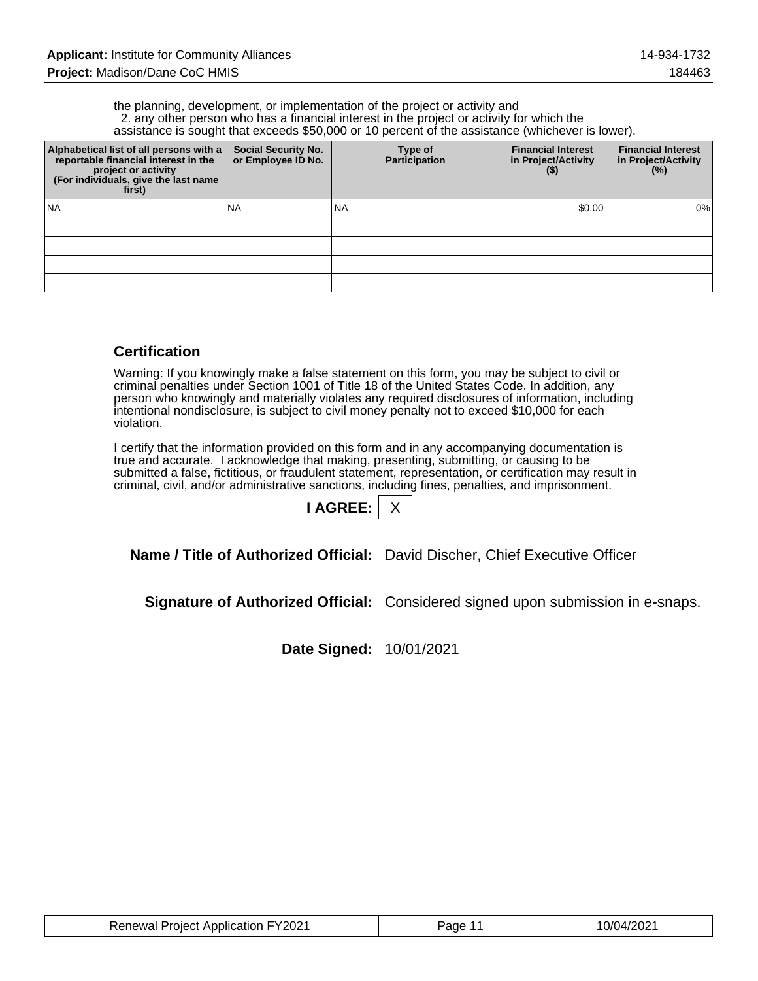the planning, development, or implementation of the project or activity and 2. any other person who has a financial interest in the project or activity for which the assistance is sought that exceeds \$50,000 or 10 percent of the assistance (whichever is lower).

| Alphabetical list of all persons with a<br>reportable financial interest in the<br>project or activity<br>(For individuals, give the last name<br>first) | <b>Social Security No.</b><br>or Employee ID No. | Type of<br>Participation | <b>Financial Interest</b><br>in Project/Activity<br>$($ \$) | <b>Financial Interest</b><br>in Project/Activity<br>(%) |
|----------------------------------------------------------------------------------------------------------------------------------------------------------|--------------------------------------------------|--------------------------|-------------------------------------------------------------|---------------------------------------------------------|
| <b>NA</b>                                                                                                                                                | <b>NA</b>                                        | <b>NA</b>                | \$0.00                                                      | 0%                                                      |
|                                                                                                                                                          |                                                  |                          |                                                             |                                                         |
|                                                                                                                                                          |                                                  |                          |                                                             |                                                         |
|                                                                                                                                                          |                                                  |                          |                                                             |                                                         |
|                                                                                                                                                          |                                                  |                          |                                                             |                                                         |

### **Certification**

Warning: If you knowingly make a false statement on this form, you may be subject to civil or criminal penalties under Section 1001 of Title 18 of the United States Code. In addition, any person who knowingly and materially violates any required disclosures of information, including intentional nondisclosure, is subject to civil money penalty not to exceed \$10,000 for each violation.

I certify that the information provided on this form and in any accompanying documentation is true and accurate. I acknowledge that making, presenting, submitting, or causing to be submitted a false, fictitious, or fraudulent statement, representation, or certification may result in criminal, civil, and/or administrative sanctions, including fines, penalties, and imprisonment.

| <b>AGRE</b> |  |
|-------------|--|
|             |  |

**Name / Title of Authorized Official:** David Discher, Chief Executive Officer

**Signature of Authorized Official:** Considered signed upon submission in e-snaps.

**Date Signed:** 10/01/2021

| <b>Renewal Project Application FY2021</b> | Page 11 | 10/04/2021 |
|-------------------------------------------|---------|------------|
|-------------------------------------------|---------|------------|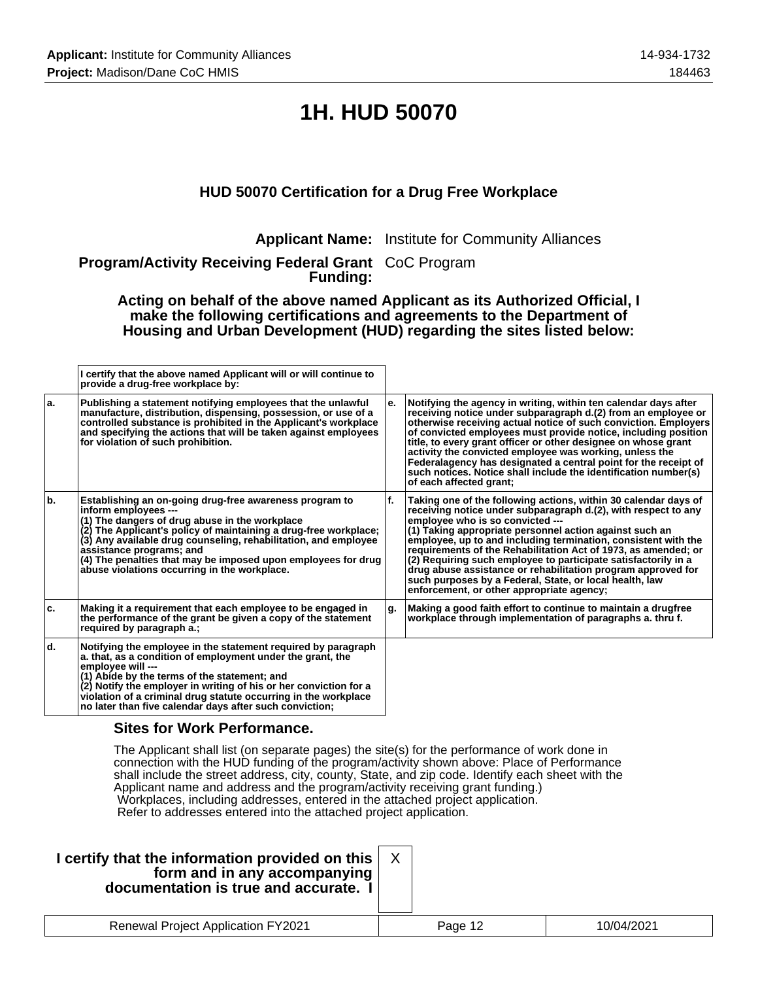## **1H. HUD 50070**

## **HUD 50070 Certification for a Drug Free Workplace**

**Applicant Name:** Institute for Community Alliances

**Program/Activity Receiving Federal Grant** CoC Program **Funding:**

**Acting on behalf of the above named Applicant as its Authorized Official, I make the following certifications and agreements to the Department of Housing and Urban Development (HUD) regarding the sites listed below:**

|     | I certify that the above named Applicant will or will continue to<br>provide a drug-free workplace by:                                                                                                                                                                                                                                                                                                                |    |                                                                                                                                                                                                                                                                                                                                                                                                                                                                                                                                                                                                                |
|-----|-----------------------------------------------------------------------------------------------------------------------------------------------------------------------------------------------------------------------------------------------------------------------------------------------------------------------------------------------------------------------------------------------------------------------|----|----------------------------------------------------------------------------------------------------------------------------------------------------------------------------------------------------------------------------------------------------------------------------------------------------------------------------------------------------------------------------------------------------------------------------------------------------------------------------------------------------------------------------------------------------------------------------------------------------------------|
| ۱a. | Publishing a statement notifying employees that the unlawful<br>manufacture, distribution, dispensing, possession, or use of a<br>controlled substance is prohibited in the Applicant's workplace<br>and specifying the actions that will be taken against employees<br>for violation of such prohibition.                                                                                                            | е. | Notifying the agency in writing, within ten calendar days after<br>receiving notice under subparagraph d.(2) from an employee or<br>otherwise receiving actual notice of such conviction. Employers<br>of convicted employees must provide notice, including position<br>title, to every grant officer or other designee on whose grant<br>activity the convicted employee was working, unless the<br>Federalagency has designated a central point for the receipt of<br>such notices. Notice shall include the identification number(s)<br>of each affected grant;                                            |
| lb. | Establishing an on-going drug-free awareness program to<br>inform employees ---<br>(1) The dangers of drug abuse in the workplace<br>(2) The Applicant's policy of maintaining a drug-free workplace;<br>(3) Any available drug counseling, rehabilitation, and employee<br>assistance programs; and<br>(4) The penalties that may be imposed upon employees for drug<br>abuse violations occurring in the workplace. | f. | Taking one of the following actions, within 30 calendar days of<br>receiving notice under subparagraph d.(2), with respect to any<br>employee who is so convicted ---<br>(1) Taking appropriate personnel action against such an<br>employee, up to and including termination, consistent with the<br>requirements of the Rehabilitation Act of 1973, as amended; or<br>(2) Requiring such employee to participate satisfactorily in a<br>drug abuse assistance or rehabilitation program approved for<br>such purposes by a Federal, State, or local health, law<br>enforcement, or other appropriate agency; |
| ۱c. | Making it a requirement that each employee to be engaged in<br>the performance of the grant be given a copy of the statement<br>required by paragraph a.;                                                                                                                                                                                                                                                             | q. | Making a good faith effort to continue to maintain a drugfree<br>workplace through implementation of paragraphs a. thru f.                                                                                                                                                                                                                                                                                                                                                                                                                                                                                     |
| d.  | Notifying the employee in the statement required by paragraph<br>a. that, as a condition of employment under the grant, the<br>emplovee will ---<br>(1) Abide by the terms of the statement; and<br>(2) Notify the employer in writing of his or her conviction for a<br>violation of a criminal drug statute occurring in the workplace<br>no later than five calendar days after such conviction;                   |    |                                                                                                                                                                                                                                                                                                                                                                                                                                                                                                                                                                                                                |

### **Sites for Work Performance.**

The Applicant shall list (on separate pages) the site(s) for the performance of work done in connection with the HUD funding of the program/activity shown above: Place of Performance shall include the street address, city, county, State, and zip code. Identify each sheet with the Applicant name and address and the program/activity receiving grant funding.) Workplaces, including addresses, entered in the attached project application. Refer to addresses entered into the attached project application.

| I certify that the information provided on this $ $<br>form and in any accompanying<br>documentation is true and accurate. I |         |            |
|------------------------------------------------------------------------------------------------------------------------------|---------|------------|
| <b>Renewal Project Application FY2021</b>                                                                                    | Page 12 | 10/04/2021 |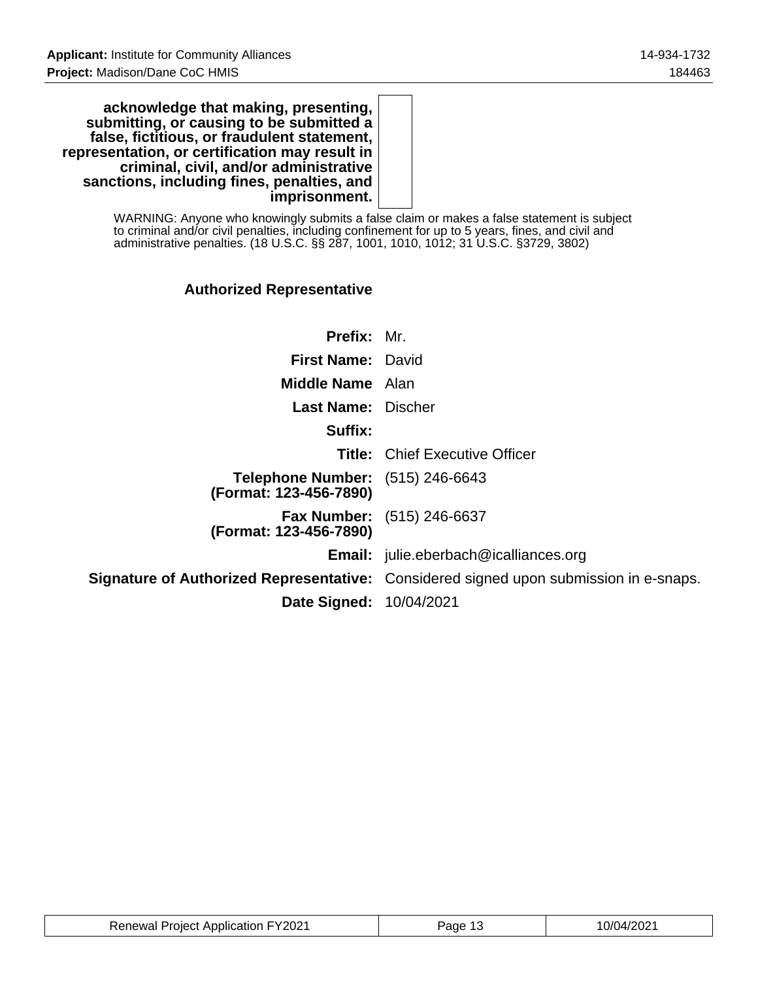**acknowledge that making, presenting, submitting, or causing to be submitted a false, fictitious, or fraudulent statement, representation, or certification may result in criminal, civil, and/or administrative sanctions, including fines, penalties, and imprisonment.**

> WARNING: Anyone who knowingly submits a false claim or makes a false statement is subject to criminal and/or civil penalties, including confinement for up to 5 years, fines, and civil and administrative penalties. (18 U.S.C. §§ 287, 1001, 1010, 1012; 31 U.S.C. §3729, 3802)

## **Authorized Representative**

| <b>Prefix: Mr.</b>                                         |                                                                                              |
|------------------------------------------------------------|----------------------------------------------------------------------------------------------|
| <b>First Name: David</b>                                   |                                                                                              |
| <b>Middle Name</b> Alan                                    |                                                                                              |
| <b>Last Name: Discher</b>                                  |                                                                                              |
| Suffix:                                                    |                                                                                              |
|                                                            | <b>Title:</b> Chief Executive Officer                                                        |
| Telephone Number: (515) 246-6643<br>(Format: 123-456-7890) |                                                                                              |
| (Format: 123-456-7890)                                     | <b>Fax Number:</b> (515) 246-6637                                                            |
|                                                            | <b>Email:</b> julie.eberbach@icalliances.org                                                 |
|                                                            | <b>Signature of Authorized Representative:</b> Considered signed upon submission in e-snaps. |
| <b>Date Signed: 10/04/2021</b>                             |                                                                                              |

| <b>Renewal Project Application FY2021</b> | Page <sup>1</sup> | 10/04/2021 |
|-------------------------------------------|-------------------|------------|
|-------------------------------------------|-------------------|------------|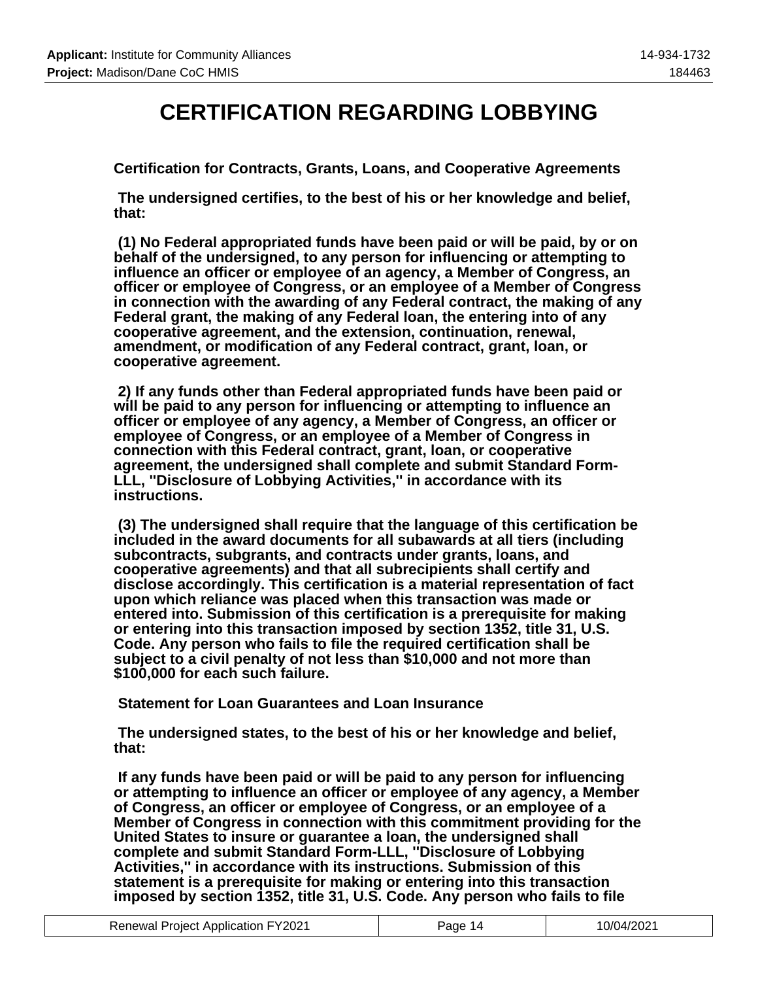## **CERTIFICATION REGARDING LOBBYING**

**Certification for Contracts, Grants, Loans, and Cooperative Agreements**

 **The undersigned certifies, to the best of his or her knowledge and belief, that:**

 **(1) No Federal appropriated funds have been paid or will be paid, by or on behalf of the undersigned, to any person for influencing or attempting to influence an officer or employee of an agency, a Member of Congress, an officer or employee of Congress, or an employee of a Member of Congress in connection with the awarding of any Federal contract, the making of any Federal grant, the making of any Federal loan, the entering into of any cooperative agreement, and the extension, continuation, renewal, amendment, or modification of any Federal contract, grant, loan, or cooperative agreement.**

 **2) If any funds other than Federal appropriated funds have been paid or will be paid to any person for influencing or attempting to influence an officer or employee of any agency, a Member of Congress, an officer or employee of Congress, or an employee of a Member of Congress in connection with this Federal contract, grant, loan, or cooperative agreement, the undersigned shall complete and submit Standard Form-LLL, ''Disclosure of Lobbying Activities,'' in accordance with its instructions.**

 **(3) The undersigned shall require that the language of this certification be included in the award documents for all subawards at all tiers (including subcontracts, subgrants, and contracts under grants, loans, and cooperative agreements) and that all subrecipients shall certify and disclose accordingly. This certification is a material representation of fact upon which reliance was placed when this transaction was made or entered into. Submission of this certification is a prerequisite for making or entering into this transaction imposed by section 1352, title 31, U.S. Code. Any person who fails to file the required certification shall be subject to a civil penalty of not less than \$10,000 and not more than \$100,000 for each such failure.**

 **Statement for Loan Guarantees and Loan Insurance**

 **The undersigned states, to the best of his or her knowledge and belief, that:**

 **If any funds have been paid or will be paid to any person for influencing or attempting to influence an officer or employee of any agency, a Member of Congress, an officer or employee of Congress, or an employee of a Member of Congress in connection with this commitment providing for the United States to insure or guarantee a loan, the undersigned shall complete and submit Standard Form-LLL, ''Disclosure of Lobbying Activities,'' in accordance with its instructions. Submission of this statement is a prerequisite for making or entering into this transaction imposed by section 1352, title 31, U.S. Code. Any person who fails to file**

| <b>Renewal Project Application FY2021</b> | Page 14 | 10/04/2021 |
|-------------------------------------------|---------|------------|
|-------------------------------------------|---------|------------|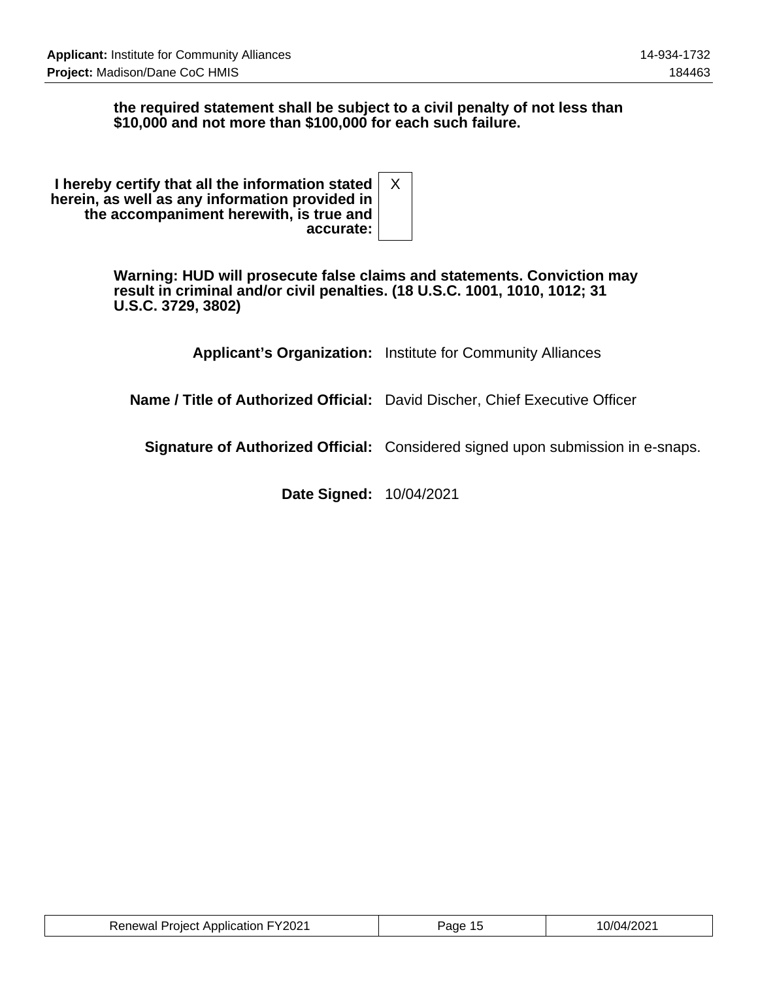### **the required statement shall be subject to a civil penalty of not less than \$10,000 and not more than \$100,000 for each such failure.**

**I hereby certify that all the information stated herein, as well as any information provided in the accompaniment herewith, is true and accurate:** X

> **Warning: HUD will prosecute false claims and statements. Conviction may result in criminal and/or civil penalties. (18 U.S.C. 1001, 1010, 1012; 31 U.S.C. 3729, 3802)**

> > **Applicant's Organization:** Institute for Community Alliances

**Name / Title of Authorized Official:** David Discher, Chief Executive Officer

**Signature of Authorized Official:** Considered signed upon submission in e-snaps.

**Date Signed:** 10/04/2021

| <b>Renewal Project Application FY2021</b> | Page 15 | 10/04/2021 |
|-------------------------------------------|---------|------------|
|-------------------------------------------|---------|------------|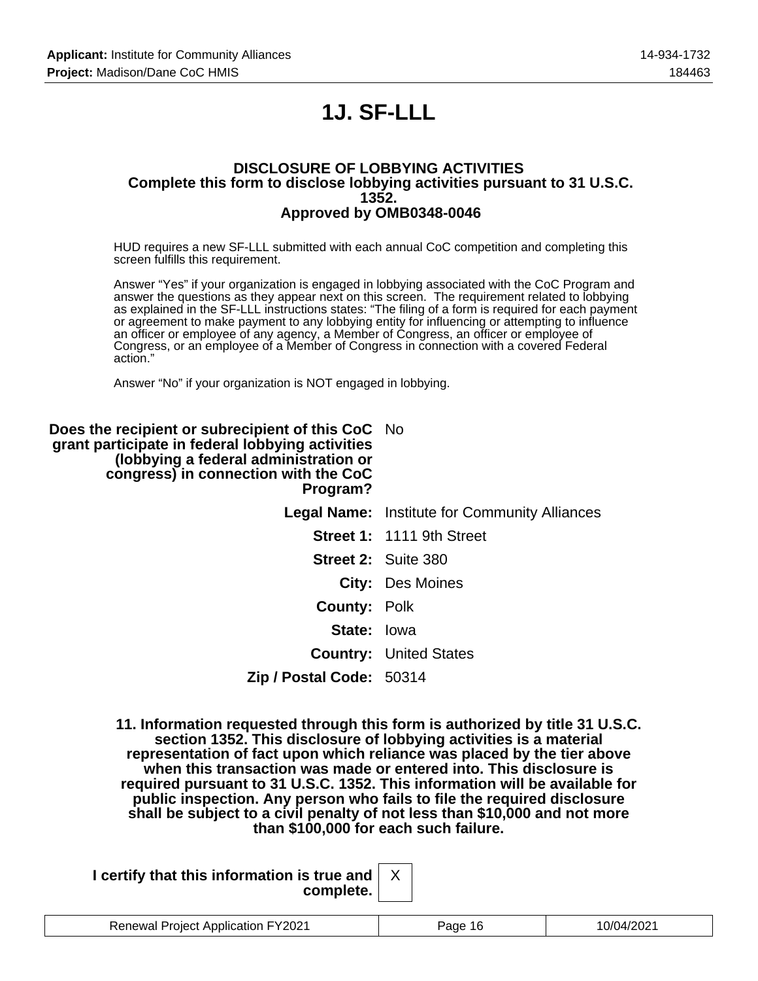# **1J. SF-LLL**

#### **DISCLOSURE OF LOBBYING ACTIVITIES Complete this form to disclose lobbying activities pursuant to 31 U.S.C. 1352. Approved by OMB0348-0046**

HUD requires a new SF-LLL submitted with each annual CoC competition and completing this screen fulfills this requirement.

Answer "Yes" if your organization is engaged in lobbying associated with the CoC Program and answer the questions as they appear next on this screen. The requirement related to lobbying as explained in the SF-LLL instructions states: "The filing of a form is required for each payment or agreement to make payment to any lobbying entity for influencing or attempting to influence an officer or employee of any agency, a Member of Congress, an officer or employee of Congress, or an employee of a Member of Congress in connection with a covered Federal action."

Answer "No" if your organization is NOT engaged in lobbying.

| Does the recipient or subrecipient of this CoC No<br>grant participate in federal lobbying activities<br>(lobbying a federal administration or<br>congress) in connection with the CoC<br>Program? |                                                      |
|----------------------------------------------------------------------------------------------------------------------------------------------------------------------------------------------------|------------------------------------------------------|
|                                                                                                                                                                                                    | <b>Legal Name:</b> Institute for Community Alliances |
|                                                                                                                                                                                                    | Street 1: 1111 9th Street                            |
|                                                                                                                                                                                                    | <b>Street 2: Suite 380</b>                           |
|                                                                                                                                                                                                    | <b>City: Des Moines</b>                              |
| <b>County: Polk</b>                                                                                                                                                                                |                                                      |
| <b>State: lowa</b>                                                                                                                                                                                 |                                                      |
|                                                                                                                                                                                                    | <b>Country: United States</b>                        |
| Zip / Postal Code: 50314                                                                                                                                                                           |                                                      |
|                                                                                                                                                                                                    |                                                      |

**11. Information requested through this form is authorized by title 31 U.S.C. section 1352. This disclosure of lobbying activities is a material representation of fact upon which reliance was placed by the tier above when this transaction was made or entered into. This disclosure is required pursuant to 31 U.S.C. 1352. This information will be available for public inspection. Any person who fails to file the required disclosure shall be subject to a civil penalty of not less than \$10,000 and not more than \$100,000 for each such failure.**

**I certify that this information is true and complete.**

| <b>Renewal Project Application FY2021</b> | Pane. |  |
|-------------------------------------------|-------|--|
|                                           |       |  |

X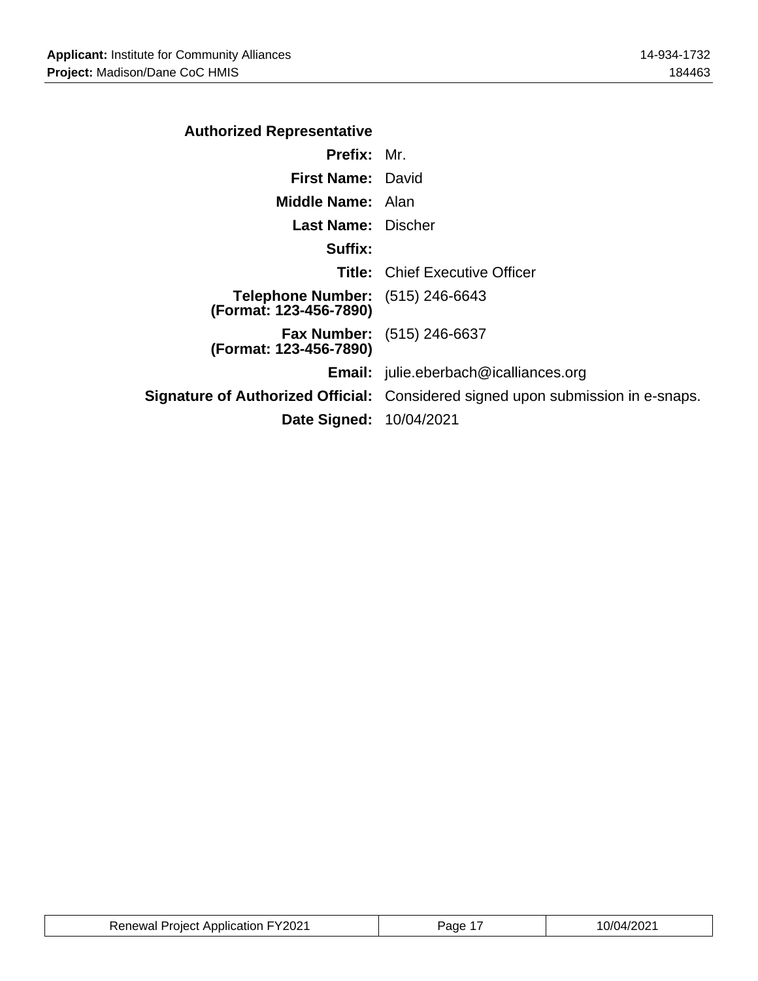| <b>Authorized Representative</b>                                  |                                                                                 |
|-------------------------------------------------------------------|---------------------------------------------------------------------------------|
| <b>Prefix: Mr.</b>                                                |                                                                                 |
| <b>First Name: David</b>                                          |                                                                                 |
| <b>Middle Name: Alan</b>                                          |                                                                                 |
| <b>Last Name: Discher</b>                                         |                                                                                 |
| Suffix:                                                           |                                                                                 |
|                                                                   | <b>Title:</b> Chief Executive Officer                                           |
| <b>Telephone Number:</b> (515) 246-6643<br>(Format: 123-456-7890) |                                                                                 |
| (Format: 123-456-7890)                                            | <b>Fax Number:</b> (515) 246-6637                                               |
|                                                                   | <b>Email:</b> julie.eberbach@icalliances.org                                    |
|                                                                   | Signature of Authorized Official: Considered signed upon submission in e-snaps. |
| <b>Date Signed: 10/04/2021</b>                                    |                                                                                 |

| <b>Renewal Project Application FY2021</b> | aqe | 10/04/2021 |
|-------------------------------------------|-----|------------|
|-------------------------------------------|-----|------------|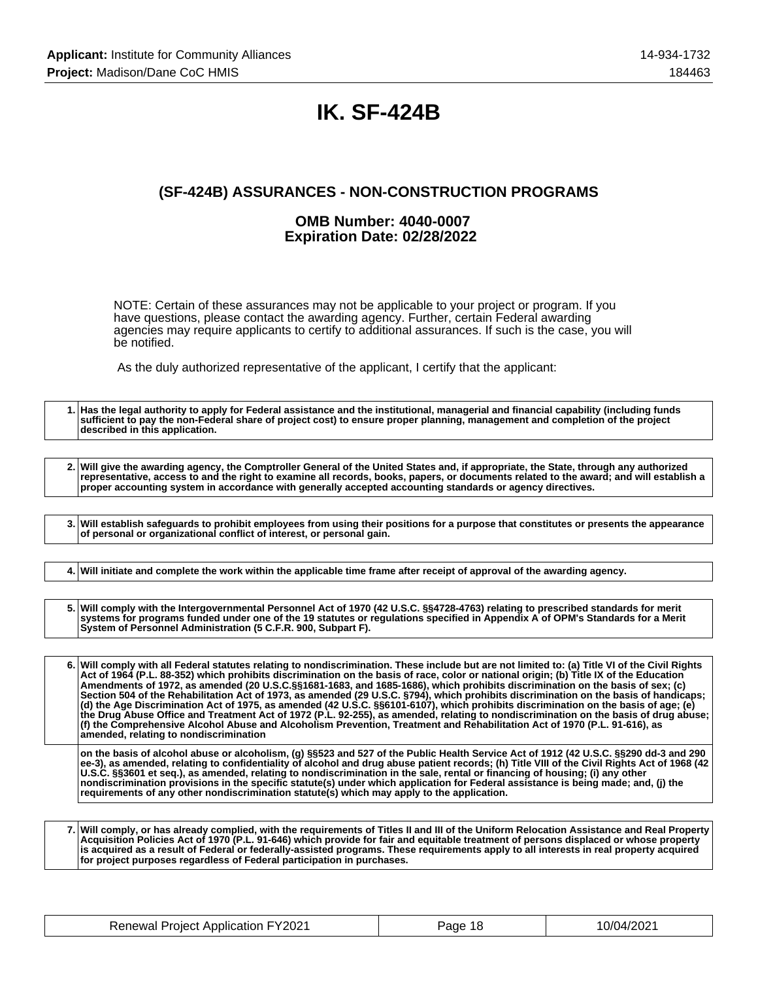## **IK. SF-424B**

### **(SF-424B) ASSURANCES - NON-CONSTRUCTION PROGRAMS**

### **OMB Number: 4040-0007 Expiration Date: 02/28/2022**

NOTE: Certain of these assurances may not be applicable to your project or program. If you have questions, please contact the awarding agency. Further, certain Federal awarding agencies may require applicants to certify to additional assurances. If such is the case, you will be notified.

As the duly authorized representative of the applicant, I certify that the applicant:

**1. Has the legal authority to apply for Federal assistance and the institutional, managerial and financial capability (including funds sufficient to pay the non-Federal share of project cost) to ensure proper planning, management and completion of the project described in this application.**

**2. Will give the awarding agency, the Comptroller General of the United States and, if appropriate, the State, through any authorized representative, access to and the right to examine all records, books, papers, or documents related to the award; and will establish a proper accounting system in accordance with generally accepted accounting standards or agency directives.**

**3. Will establish safeguards to prohibit employees from using their positions for a purpose that constitutes or presents the appearance of personal or organizational conflict of interest, or personal gain.**

**4. Will initiate and complete the work within the applicable time frame after receipt of approval of the awarding agency.**

**5. Will comply with the Intergovernmental Personnel Act of 1970 (42 U.S.C. §§4728-4763) relating to prescribed standards for merit systems for programs funded under one of the 19 statutes or regulations specified in Appendix A of OPM's Standards for a Merit System of Personnel Administration (5 C.F.R. 900, Subpart F).**

**6. Will comply with all Federal statutes relating to nondiscrimination. These include but are not limited to: (a) Title VI of the Civil Rights Act of 1964 (P.L. 88-352) which prohibits discrimination on the basis of race, color or national origin; (b) Title IX of the Education Amendments of 1972, as amended (20 U.S.C.§§1681-1683, and 1685-1686), which prohibits discrimination on the basis of sex; (c) Section 504 of the Rehabilitation Act of 1973, as amended (29 U.S.C. §794), which prohibits discrimination on the basis of handicaps; (d) the Age Discrimination Act of 1975, as amended (42 U.S.C. §§6101-6107), which prohibits discrimination on the basis of age; (e) the Drug Abuse Office and Treatment Act of 1972 (P.L. 92-255), as amended, relating to nondiscrimination on the basis of drug abuse; (f) the Comprehensive Alcohol Abuse and Alcoholism Prevention, Treatment and Rehabilitation Act of 1970 (P.L. 91-616), as amended, relating to nondiscrimination**

**on the basis of alcohol abuse or alcoholism, (g) §§523 and 527 of the Public Health Service Act of 1912 (42 U.S.C. §§290 dd-3 and 290 ee-3), as amended, relating to confidentiality of alcohol and drug abuse patient records; (h) Title VIII of the Civil Rights Act of 1968 (42 U.S.C. §§3601 et seq.), as amended, relating to nondiscrimination in the sale, rental or financing of housing; (i) any other nondiscrimination provisions in the specific statute(s) under which application for Federal assistance is being made; and, (j) the requirements of any other nondiscrimination statute(s) which may apply to the application.**

**7. Will comply, or has already complied, with the requirements of Titles II and III of the Uniform Relocation Assistance and Real Property Acquisition Policies Act of 1970 (P.L. 91-646) which provide for fair and equitable treatment of persons displaced or whose property is acquired as a result of Federal or federally-assisted programs. These requirements apply to all interests in real property acquired for project purposes regardless of Federal participation in purchases.**

| <b>Renewal Project Application FY2021</b> | Page 18 | 10/04/2021 |
|-------------------------------------------|---------|------------|
|-------------------------------------------|---------|------------|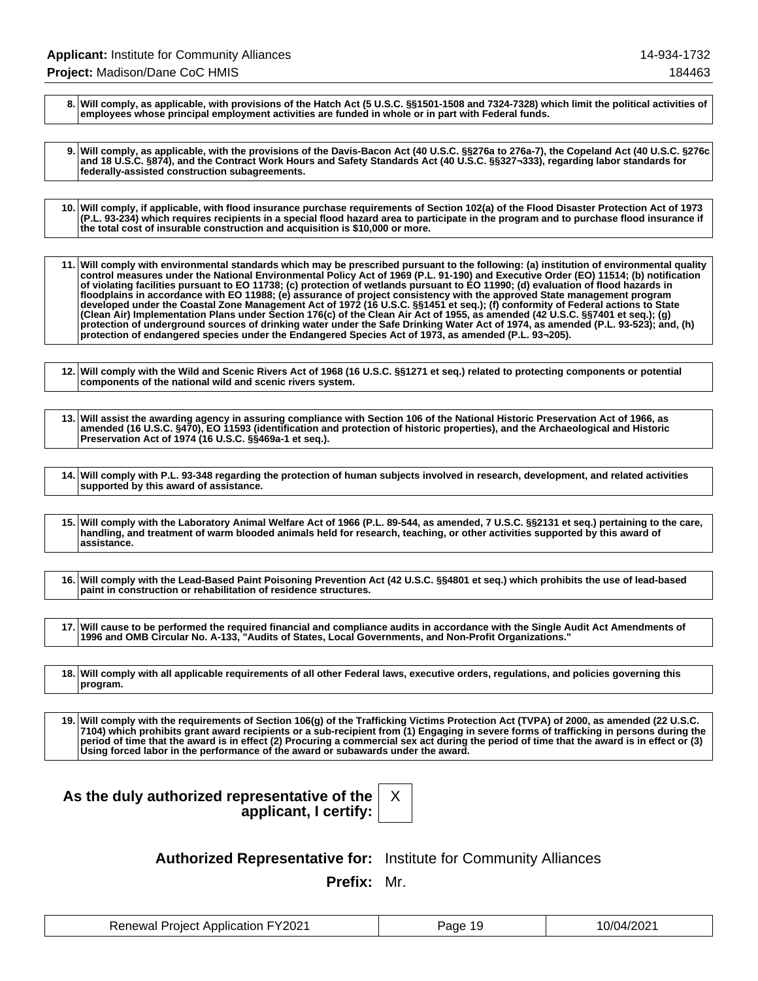**8. Will comply, as applicable, with provisions of the Hatch Act (5 U.S.C. §§1501-1508 and 7324-7328) which limit the political activities of employees whose principal employment activities are funded in whole or in part with Federal funds.**

**9. Will comply, as applicable, with the provisions of the Davis-Bacon Act (40 U.S.C. §§276a to 276a-7), the Copeland Act (40 U.S.C. §276c and 18 U.S.C. §874), and the Contract Work Hours and Safety Standards Act (40 U.S.C. §§327¬333), regarding labor standards for federally-assisted construction subagreements.**

**10. Will comply, if applicable, with flood insurance purchase requirements of Section 102(a) of the Flood Disaster Protection Act of 1973 (P.L. 93-234) which requires recipients in a special flood hazard area to participate in the program and to purchase flood insurance if the total cost of insurable construction and acquisition is \$10,000 or more.**

**11. Will comply with environmental standards which may be prescribed pursuant to the following: (a) institution of environmental quality control measures under the National Environmental Policy Act of 1969 (P.L. 91-190) and Executive Order (EO) 11514; (b) notification of violating facilities pursuant to EO 11738; (c) protection of wetlands pursuant to EO 11990; (d) evaluation of flood hazards in floodplains in accordance with EO 11988; (e) assurance of project consistency with the approved State management program developed under the Coastal Zone Management Act of 1972 (16 U.S.C. §§1451 et seq.); (f) conformity of Federal actions to State (Clean Air) Implementation Plans under Section 176(c) of the Clean Air Act of 1955, as amended (42 U.S.C. §§7401 et seq.); (g) protection of underground sources of drinking water under the Safe Drinking Water Act of 1974, as amended (P.L. 93-523); and, (h) protection of endangered species under the Endangered Species Act of 1973, as amended (P.L. 93¬205).**

**12. Will comply with the Wild and Scenic Rivers Act of 1968 (16 U.S.C. §§1271 et seq.) related to protecting components or potential components of the national wild and scenic rivers system.**

**13. Will assist the awarding agency in assuring compliance with Section 106 of the National Historic Preservation Act of 1966, as amended (16 U.S.C. §470), EO 11593 (identification and protection of historic properties), and the Archaeological and Historic Preservation Act of 1974 (16 U.S.C. §§469a-1 et seq.).**

**14. Will comply with P.L. 93-348 regarding the protection of human subjects involved in research, development, and related activities supported by this award of assistance.**

**15. Will comply with the Laboratory Animal Welfare Act of 1966 (P.L. 89-544, as amended, 7 U.S.C. §§2131 et seq.) pertaining to the care, handling, and treatment of warm blooded animals held for research, teaching, or other activities supported by this award of assistance.**

**16. Will comply with the Lead-Based Paint Poisoning Prevention Act (42 U.S.C. §§4801 et seq.) which prohibits the use of lead-based paint in construction or rehabilitation of residence structures.**

**17. Will cause to be performed the required financial and compliance audits in accordance with the Single Audit Act Amendments of 1996 and OMB Circular No. A-133, "Audits of States, Local Governments, and Non-Profit Organizations."**

**18. Will comply with all applicable requirements of all other Federal laws, executive orders, regulations, and policies governing this program.**

**19. Will comply with the requirements of Section 106(g) of the Trafficking Victims Protection Act (TVPA) of 2000, as amended (22 U.S.C. 7104) which prohibits grant award recipients or a sub-recipient from (1) Engaging in severe forms of trafficking in persons during the period of time that the award is in effect (2) Procuring a commercial sex act during the period of time that the award is in effect or (3) Using forced labor in the performance of the award or subawards under the award.**

### **As the duly authorized representative of the applicant, I certify:**

X

**Authorized Representative for:** Institute for Community Alliances

**Prefix:** Mr.

| <b>Renewal Project Application FY2021</b> | Page 19 | 10/04/2021 |
|-------------------------------------------|---------|------------|
|-------------------------------------------|---------|------------|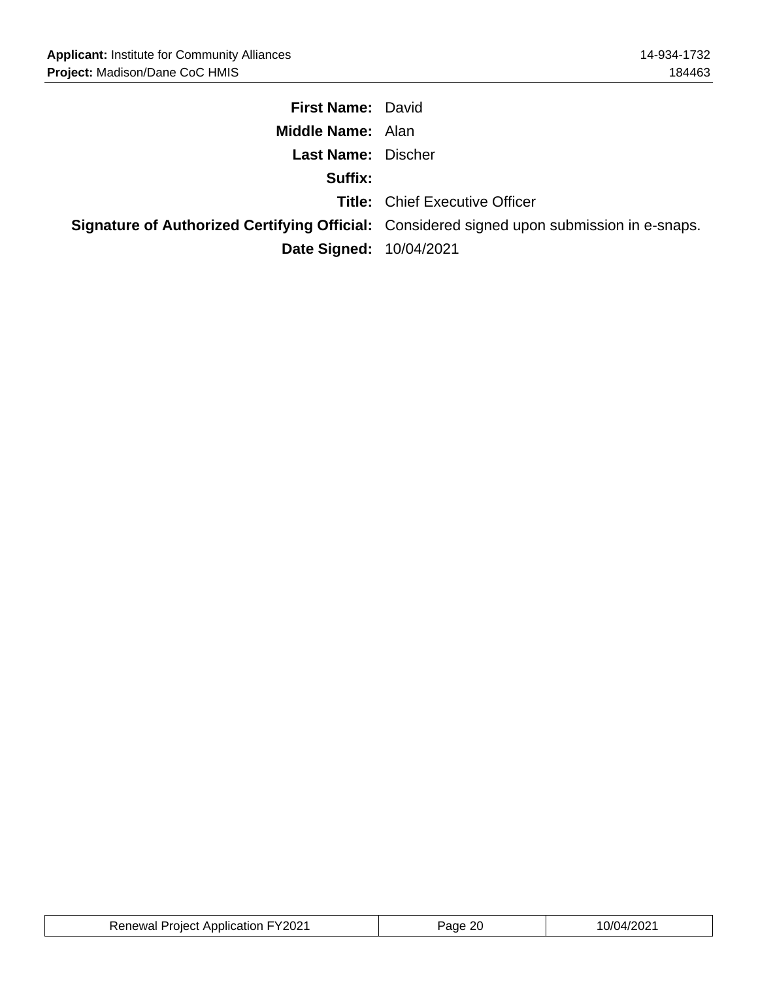| <b>First Name: David</b>       |                                                                                                   |
|--------------------------------|---------------------------------------------------------------------------------------------------|
| Middle Name: Alan              |                                                                                                   |
| <b>Last Name: Discher</b>      |                                                                                                   |
| Suffix:                        |                                                                                                   |
|                                | <b>Title: Chief Executive Officer</b>                                                             |
|                                | <b>Signature of Authorized Certifying Official:</b> Considered signed upon submission in e-snaps. |
| <b>Date Signed: 10/04/2021</b> |                                                                                                   |

| <b>Renewal Project Application FY2021</b> | aae<br>-40 | 10/04/2021 |
|-------------------------------------------|------------|------------|
|-------------------------------------------|------------|------------|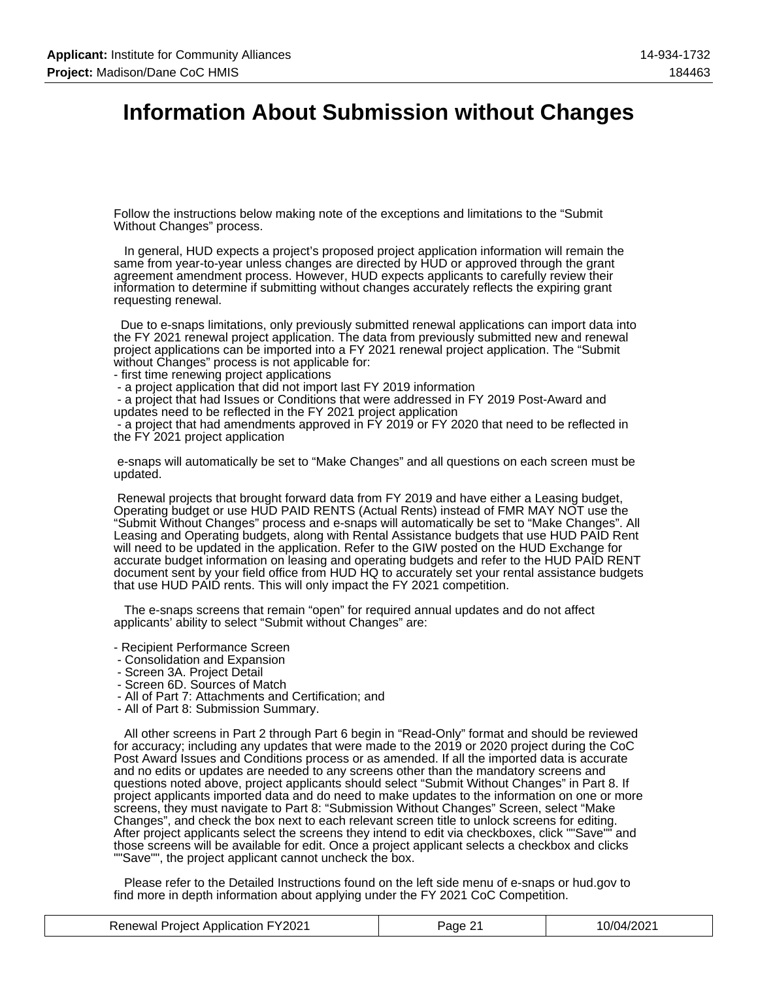## **Information About Submission without Changes**

Follow the instructions below making note of the exceptions and limitations to the "Submit Without Changes" process.

 In general, HUD expects a project's proposed project application information will remain the same from year-to-year unless changes are directed by HUD or approved through the grant agreement amendment process. However, HUD expects applicants to carefully review their information to determine if submitting without changes accurately reflects the expiring grant requesting renewal.

 Due to e-snaps limitations, only previously submitted renewal applications can import data into the FY 2021 renewal project application. The data from previously submitted new and renewal project applications can be imported into a FY 2021 renewal project application. The "Submit without Changes" process is not applicable for:

- first time renewing project applications
- a project application that did not import last FY 2019 information

 - a project that had Issues or Conditions that were addressed in FY 2019 Post-Award and updates need to be reflected in the FY 2021 project application

 - a project that had amendments approved in FY 2019 or FY 2020 that need to be reflected in the FY 2021 project application

 e-snaps will automatically be set to "Make Changes" and all questions on each screen must be updated.

 Renewal projects that brought forward data from FY 2019 and have either a Leasing budget, Operating budget or use HUD PAID RENTS (Actual Rents) instead of FMR MAY NOT use the "Submit Without Changes" process and e-snaps will automatically be set to "Make Changes". All Leasing and Operating budgets, along with Rental Assistance budgets that use HUD PAID Rent will need to be updated in the application. Refer to the GIW posted on the HUD Exchange for accurate budget information on leasing and operating budgets and refer to the HUD PAID RENT document sent by your field office from HUD HQ to accurately set your rental assistance budgets that use HUD PAID rents. This will only impact the FY 2021 competition.

 The e-snaps screens that remain "open" for required annual updates and do not affect applicants' ability to select "Submit without Changes" are:

- Recipient Performance Screen
- Consolidation and Expansion
- Screen 3A. Project Detail
- Screen 6D. Sources of Match
- All of Part 7: Attachments and Certification; and
- All of Part 8: Submission Summary.

 All other screens in Part 2 through Part 6 begin in "Read-Only" format and should be reviewed for accuracy; including any updates that were made to the 2019 or 2020 project during the CoC Post Award Issues and Conditions process or as amended. If all the imported data is accurate and no edits or updates are needed to any screens other than the mandatory screens and questions noted above, project applicants should select "Submit Without Changes" in Part 8. If project applicants imported data and do need to make updates to the information on one or more screens, they must navigate to Part 8: "Submission Without Changes" Screen, select "Make Changes", and check the box next to each relevant screen title to unlock screens for editing. After project applicants select the screens they intend to edit via checkboxes, click ""Save"" and those screens will be available for edit. Once a project applicant selects a checkbox and clicks ""Save"", the project applicant cannot uncheck the box.

 Please refer to the Detailed Instructions found on the left side menu of e-snaps or hud.gov to find more in depth information about applying under the FY 2021 CoC Competition.

| <b>Renewal Project Application FY2021</b> | Page 21 | 10/04/2021 |
|-------------------------------------------|---------|------------|
|-------------------------------------------|---------|------------|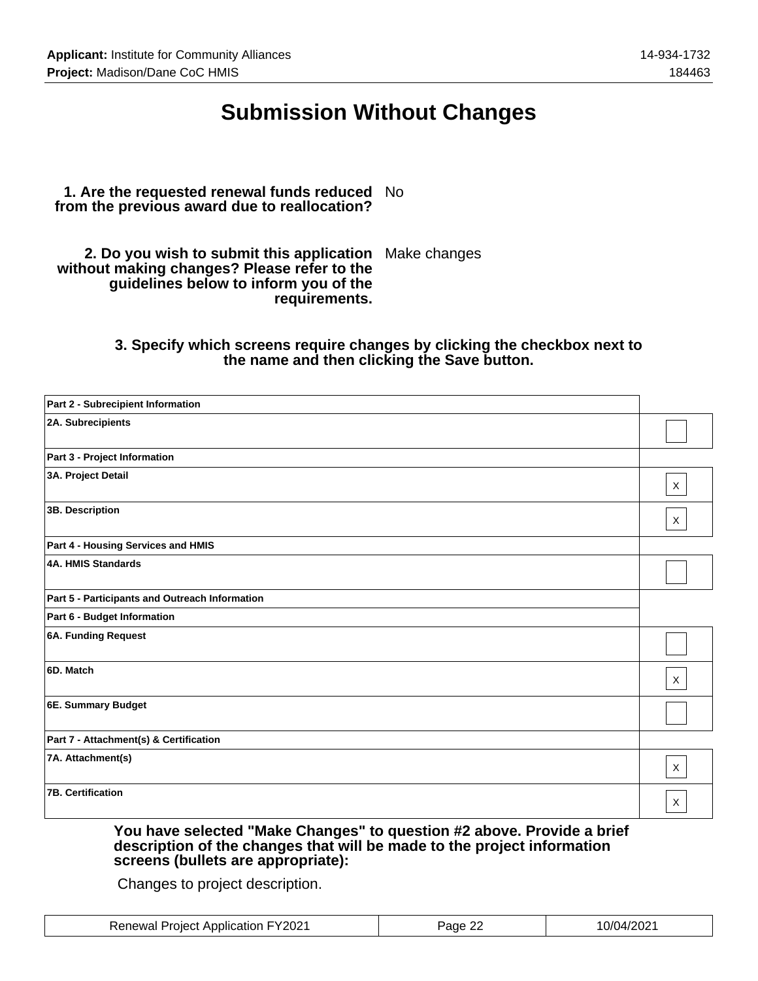## **Submission Without Changes**

### **1. Are the requested renewal funds reduced** No **from the previous award due to reallocation?**

**2. Do you wish to submit this application** Make changes **without making changes? Please refer to the guidelines below to inform you of the requirements.**

### **3. Specify which screens require changes by clicking the checkbox next to the name and then clicking the Save button.**

| Part 2 - Subrecipient Information                                                                                                                                                                  |          |
|----------------------------------------------------------------------------------------------------------------------------------------------------------------------------------------------------|----------|
| 2A. Subrecipients                                                                                                                                                                                  |          |
| Part 3 - Project Information                                                                                                                                                                       |          |
| 3A. Project Detail                                                                                                                                                                                 | X        |
| 3B. Description                                                                                                                                                                                    | X        |
| Part 4 - Housing Services and HMIS                                                                                                                                                                 |          |
| 4A. HMIS Standards                                                                                                                                                                                 |          |
| Part 5 - Participants and Outreach Information                                                                                                                                                     |          |
| Part 6 - Budget Information                                                                                                                                                                        |          |
| <b>6A. Funding Request</b>                                                                                                                                                                         |          |
| 6D. Match                                                                                                                                                                                          | X        |
| 6E. Summary Budget                                                                                                                                                                                 |          |
| Part 7 - Attachment(s) & Certification                                                                                                                                                             |          |
| 7A. Attachment(s)                                                                                                                                                                                  | $\times$ |
| <b>7B. Certification</b>                                                                                                                                                                           | X        |
| $\mathbf{r}$ , and $\mathbf{r}$ , and $\mathbf{r}$ , and $\mathbf{r}$<br>--<br><b>Barrow</b><br>$\mathbf{a}$ and $\mathbf{a}$ and $\mathbf{a}$ and $\mathbf{a}$ and $\mathbf{a}$<br>.<br>$\bullet$ |          |

#### **You have selected "Make Changes" to question #2 above. Provide a brief description of the changes that will be made to the project information screens (bullets are appropriate):**

Changes to project description.

| <b>Renewal Project Application FY2021</b> | Page 22 | 10/04/2021 |
|-------------------------------------------|---------|------------|
|-------------------------------------------|---------|------------|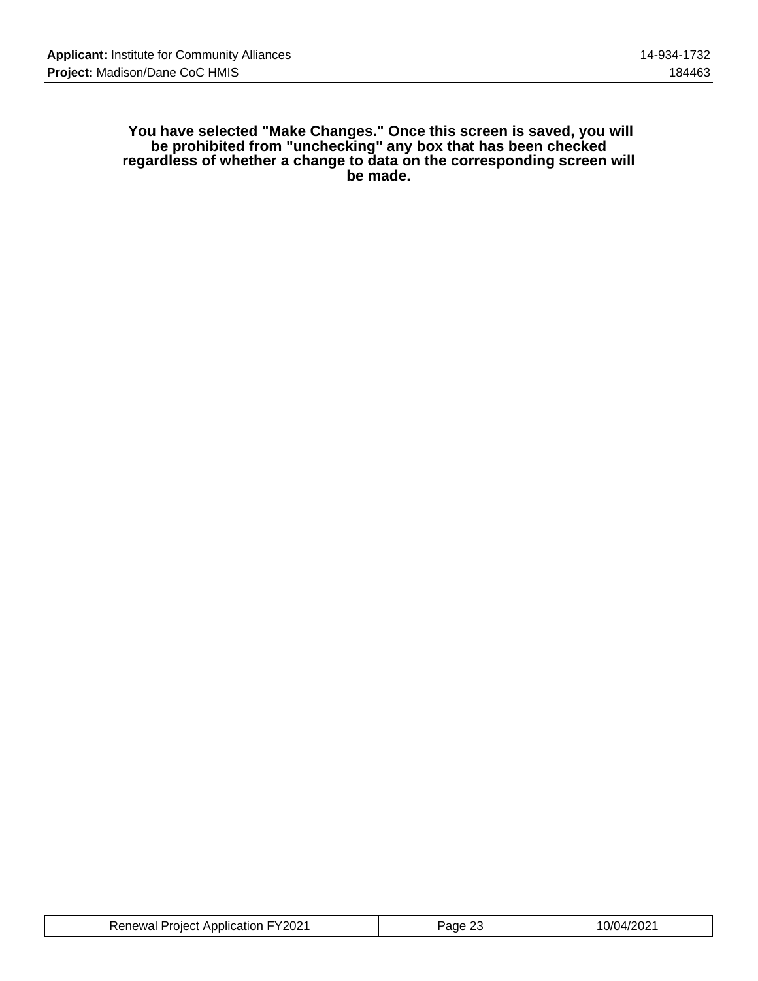### **You have selected "Make Changes." Once this screen is saved, you will be prohibited from "unchecking" any box that has been checked regardless of whether a change to data on the corresponding screen will be made.**

| <b>Renewal Project Application FY2021</b> | ⊇age | 0/04/2021 |
|-------------------------------------------|------|-----------|
|-------------------------------------------|------|-----------|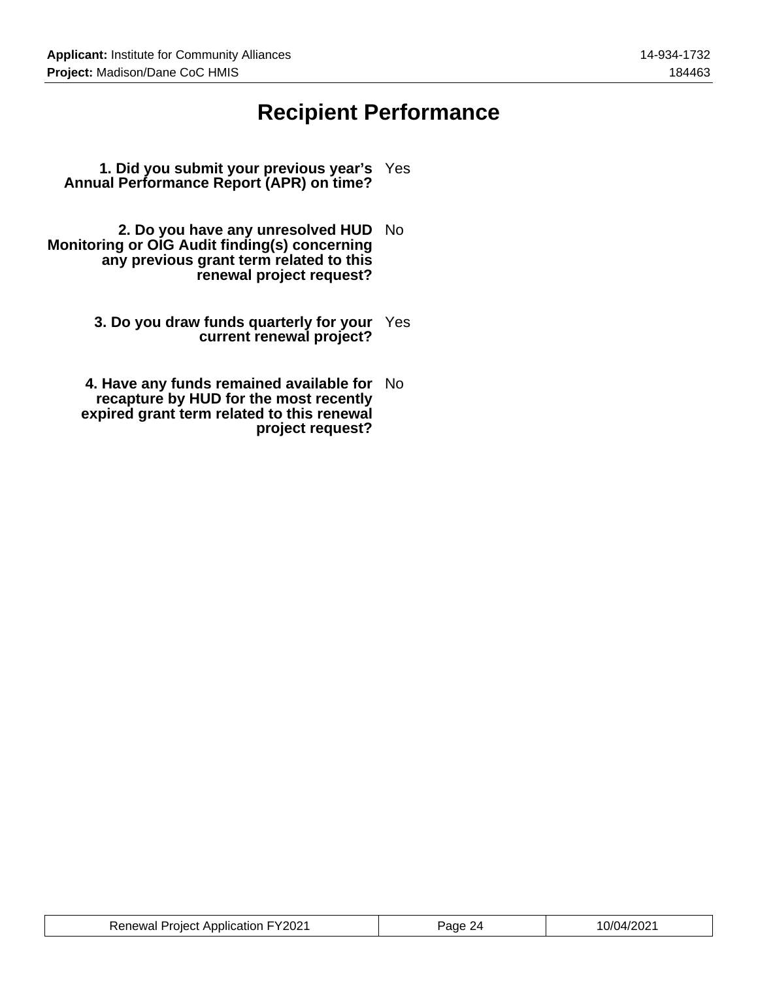## **Recipient Performance**

- **1. Did you submit your previous year's** Yes **Annual Performance Report (APR) on time?**
- **2. Do you have any unresolved HUD** No **Monitoring or OIG Audit finding(s) concerning any previous grant term related to this renewal project request?**
	- **3. Do you draw funds quarterly for your** Yes **current renewal project?**
	- **4. Have any funds remained available for** No **recapture by HUD for the most recently expired grant term related to this renewal project request?**

| <b>Renewal Project Application FY2021</b> | Page 24 | 10/04/2021 |
|-------------------------------------------|---------|------------|
|-------------------------------------------|---------|------------|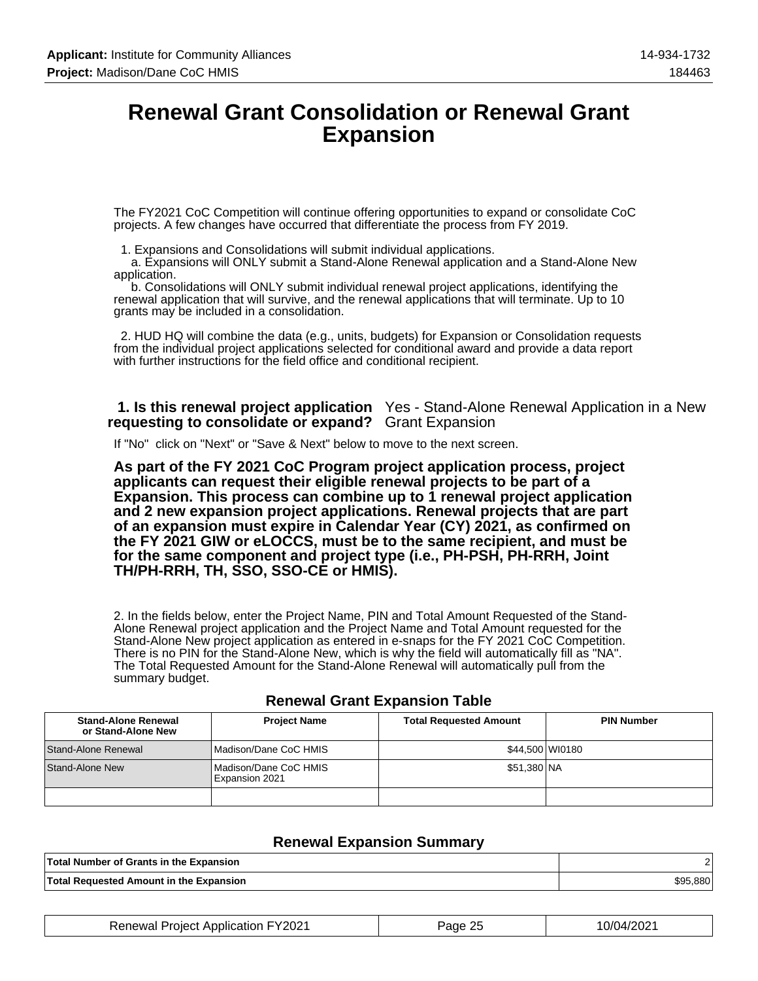## **Renewal Grant Consolidation or Renewal Grant Expansion**

The FY2021 CoC Competition will continue offering opportunities to expand or consolidate CoC projects. A few changes have occurred that differentiate the process from FY 2019.

1. Expansions and Consolidations will submit individual applications.

 a. Expansions will ONLY submit a Stand-Alone Renewal application and a Stand-Alone New application.

 b. Consolidations will ONLY submit individual renewal project applications, identifying the renewal application that will survive, and the renewal applications that will terminate. Up to 10 grants may be included in a consolidation.

 2. HUD HQ will combine the data (e.g., units, budgets) for Expansion or Consolidation requests from the individual project applications selected for conditional award and provide a data report with further instructions for the field office and conditional recipient.

**1. Is this renewal project application** Yes - Stand-Alone Renewal Application in a New **requesting to consolidate or expand?** Grant Expansion

If "No" click on "Next" or "Save & Next" below to move to the next screen.

**As part of the FY 2021 CoC Program project application process, project applicants can request their eligible renewal projects to be part of a Expansion. This process can combine up to 1 renewal project application and 2 new expansion project applications. Renewal projects that are part of an expansion must expire in Calendar Year (CY) 2021, as confirmed on the FY 2021 GIW or eLOCCS, must be to the same recipient, and must be for the same component and project type (i.e., PH-PSH, PH-RRH, Joint TH/PH-RRH, TH, SSO, SSO-CE or HMIS).**

2. In the fields below, enter the Project Name, PIN and Total Amount Requested of the Stand-Alone Renewal project application and the Project Name and Total Amount requested for the Stand-Alone New project application as entered in e-snaps for the FY 2021 CoC Competition. There is no PIN for the Stand-Alone New, which is why the field will automatically fill as "NA". The Total Requested Amount for the Stand-Alone Renewal will automatically pull from the summary budget.

| <b>Renewal Grant Expansion Table</b> |  |
|--------------------------------------|--|
|                                      |  |

| <b>Stand-Alone Renewal</b><br>or Stand-Alone New | <b>Project Name</b>                       | <b>Total Requested Amount</b> | <b>PIN Number</b> |
|--------------------------------------------------|-------------------------------------------|-------------------------------|-------------------|
| Stand-Alone Renewal                              | l Madison/Dane CoC HMIS                   | \$44,500 WI0180               |                   |
| Stand-Alone New                                  | l Madison/Dane CoC HMIS<br>Expansion 2021 | \$51,380 NA                   |                   |
|                                                  |                                           |                               |                   |

### **Renewal Expansion Summary**

| Total Number of Grants in the Expansion |      |
|-----------------------------------------|------|
| Total Requested Amount in the Expansion | .880 |

| Renewal Project Application FY2021 | Page 25 | 10/04/2021 |
|------------------------------------|---------|------------|
|------------------------------------|---------|------------|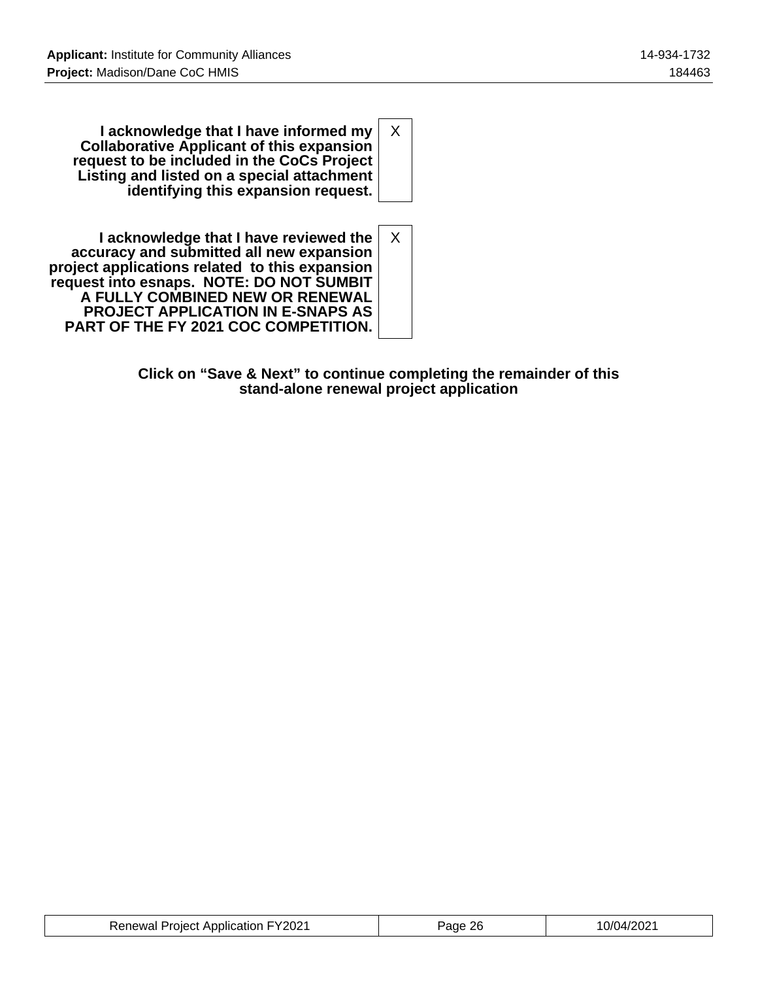**I acknowledge that I have informed my Collaborative Applicant of this expansion request to be included in the CoCs Project Listing and listed on a special attachment identifying this expansion request.** X

**I acknowledge that I have reviewed the accuracy and submitted all new expansion project applications related to this expansion request into esnaps. NOTE: DO NOT SUMBIT A FULLY COMBINED NEW OR RENEWAL PROJECT APPLICATION IN E-SNAPS AS PART OF THE FY 2021 COC COMPETITION.** X

> **Click on "Save & Next" to continue completing the remainder of this stand-alone renewal project application**

| <b>Renewal Project Application FY2021</b> | Page 26 | 10/04/2021 |
|-------------------------------------------|---------|------------|
|-------------------------------------------|---------|------------|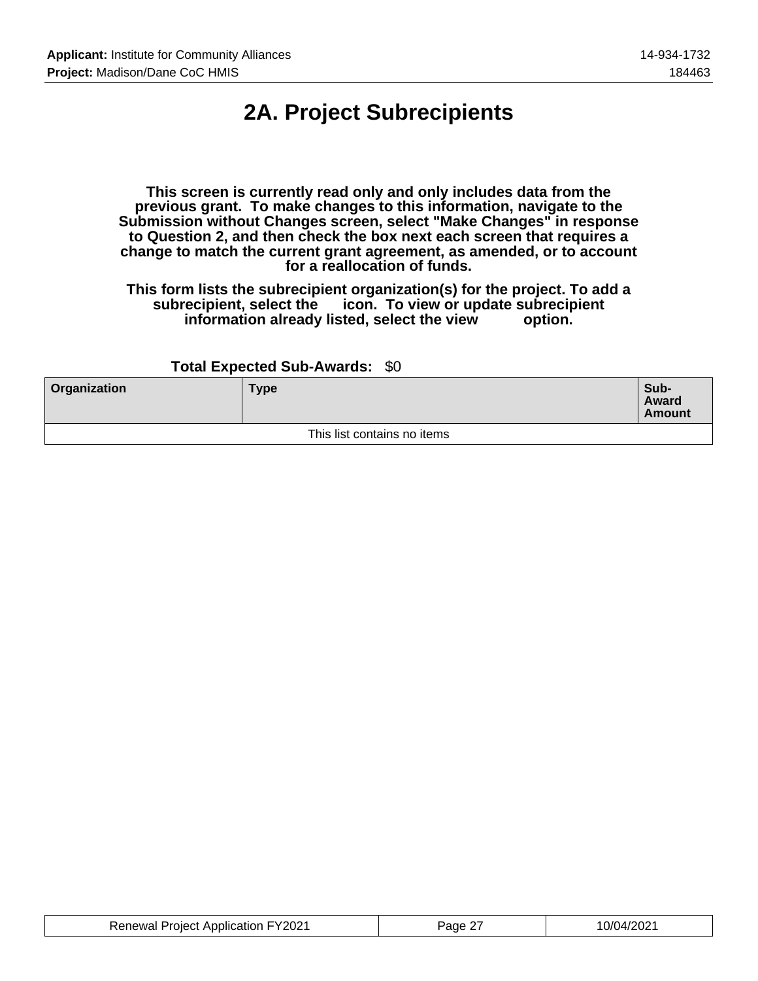# **2A. Project Subrecipients**

**This screen is currently read only and only includes data from the previous grant. To make changes to this information, navigate to the Submission without Changes screen, select "Make Changes" in response to Question 2, and then check the box next each screen that requires a change to match the current grant agreement, as amended, or to account for a reallocation of funds.**

**This form lists the subrecipient organization(s) for the project. To add a subrecipient, select the icon. To view or update subrecipient** information already listed, select the view

### **Total Expected Sub-Awards:** \$0

| <b>Organization</b> | <b>Type</b>                 | Sub-<br>Award<br><b>Amount</b> |
|---------------------|-----------------------------|--------------------------------|
|                     | This list contains no items |                                |

| <b>Renewal Project Application FY2021</b> | Page $27$ | 10/04/2021 |
|-------------------------------------------|-----------|------------|
|-------------------------------------------|-----------|------------|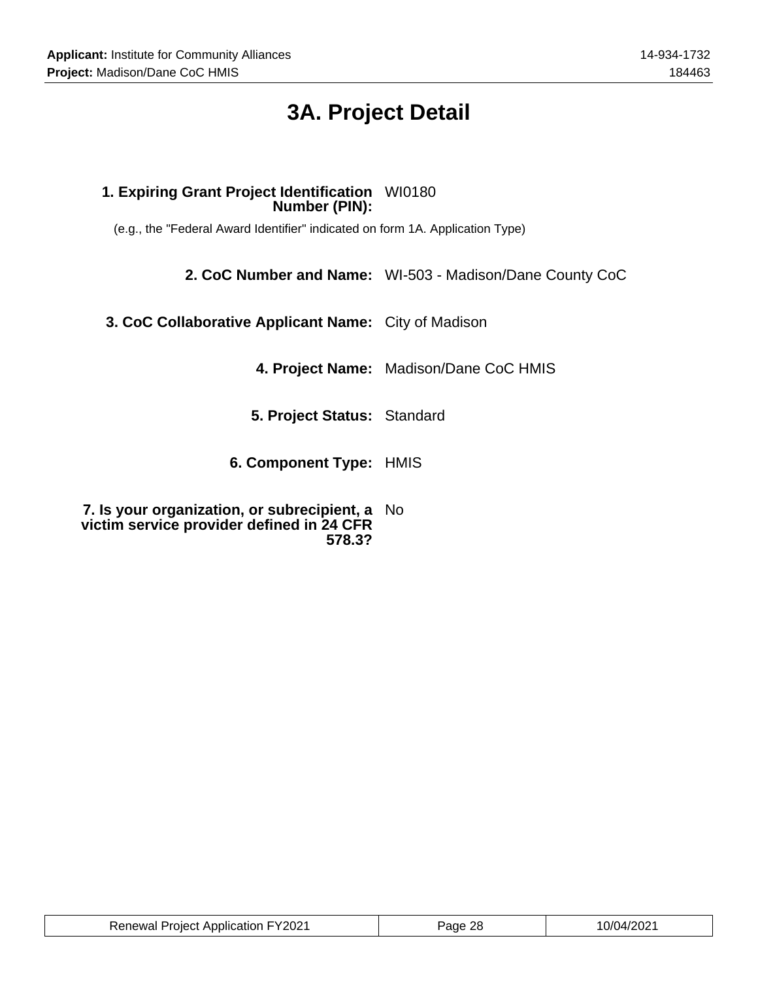# **3A. Project Detail**

### **1. Expiring Grant Project Identification** WI0180 **Number (PIN):**

(e.g., the "Federal Award Identifier" indicated on form 1A. Application Type)

**2. CoC Number and Name:** WI-503 - Madison/Dane County CoC

**3. CoC Collaborative Applicant Name:** City of Madison

**4. Project Name:** Madison/Dane CoC HMIS

- **5. Project Status:** Standard
- **6. Component Type:** HMIS
- **7. Is your organization, or subrecipient, a** No **victim service provider defined in 24 CFR 578.3?**

| <b>Renewal Project Application FY2021</b> | Page 28 | 10/04/2021 |
|-------------------------------------------|---------|------------|
|-------------------------------------------|---------|------------|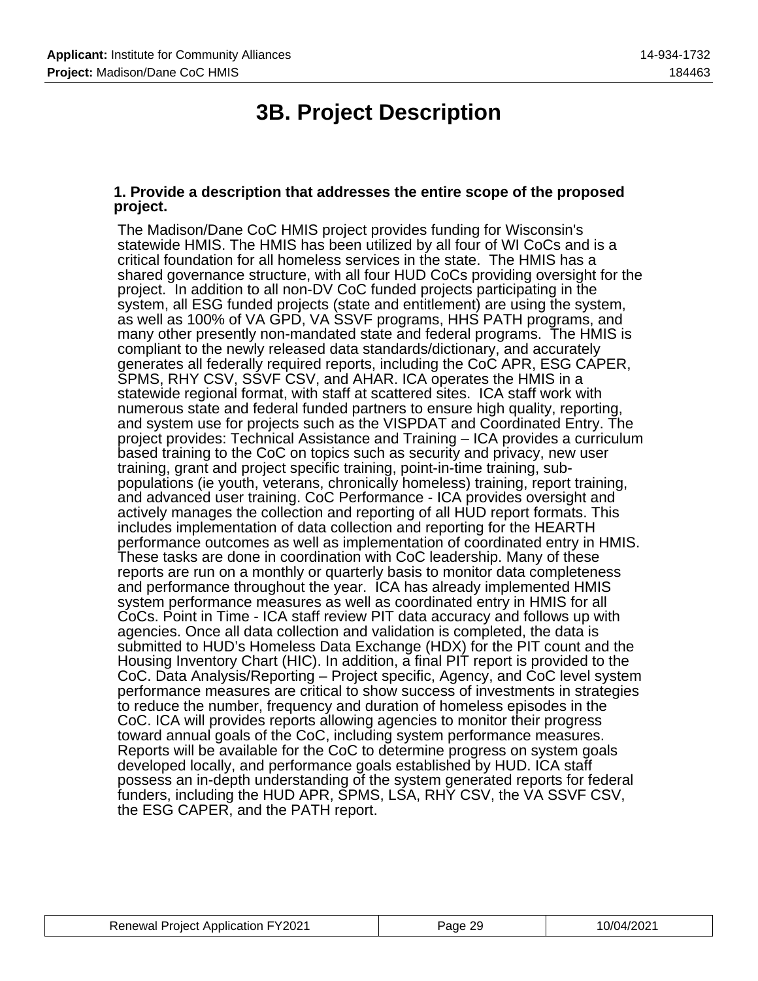# **3B. Project Description**

### **1. Provide a description that addresses the entire scope of the proposed project.**

The Madison/Dane CoC HMIS project provides funding for Wisconsin's statewide HMIS. The HMIS has been utilized by all four of WI CoCs and is a critical foundation for all homeless services in the state. The HMIS has a shared governance structure, with all four HUD CoCs providing oversight for the project. In addition to all non-DV CoC funded projects participating in the system, all ESG funded projects (state and entitlement) are using the system, as well as 100% of VA GPD, VA SSVF programs, HHS PATH programs, and many other presently non-mandated state and federal programs. The HMIS is compliant to the newly released data standards/dictionary, and accurately generates all federally required reports, including the CoC APR, ESG CAPER, SPMS, RHY CSV, SSVF CSV, and AHAR. ICA operates the HMIS in a statewide regional format, with staff at scattered sites. ICA staff work with numerous state and federal funded partners to ensure high quality, reporting, and system use for projects such as the VISPDAT and Coordinated Entry. The project provides: Technical Assistance and Training – ICA provides a curriculum based training to the CoC on topics such as security and privacy, new user training, grant and project specific training, point-in-time training, subpopulations (ie youth, veterans, chronically homeless) training, report training, and advanced user training. CoC Performance - ICA provides oversight and actively manages the collection and reporting of all HUD report formats. This includes implementation of data collection and reporting for the HEARTH performance outcomes as well as implementation of coordinated entry in HMIS. These tasks are done in coordination with CoC leadership. Many of these reports are run on a monthly or quarterly basis to monitor data completeness and performance throughout the year. ICA has already implemented HMIS system performance measures as well as coordinated entry in HMIS for all CoCs. Point in Time - ICA staff review PIT data accuracy and follows up with agencies. Once all data collection and validation is completed, the data is submitted to HUD's Homeless Data Exchange (HDX) for the PIT count and the Housing Inventory Chart (HIC). In addition, a final PIT report is provided to the CoC. Data Analysis/Reporting – Project specific, Agency, and CoC level system performance measures are critical to show success of investments in strategies to reduce the number, frequency and duration of homeless episodes in the CoC. ICA will provides reports allowing agencies to monitor their progress toward annual goals of the CoC, including system performance measures. Reports will be available for the CoC to determine progress on system goals developed locally, and performance goals established by HUD. ICA staff possess an in-depth understanding of the system generated reports for federal funders, including the HUD APR, SPMS, LSA, RHY CSV, the VA SSVF CSV, the ESG CAPER, and the PATH report.

| <b>Renewal Project Application FY2021</b> | Page 29 | 10/04/2021 |
|-------------------------------------------|---------|------------|
|-------------------------------------------|---------|------------|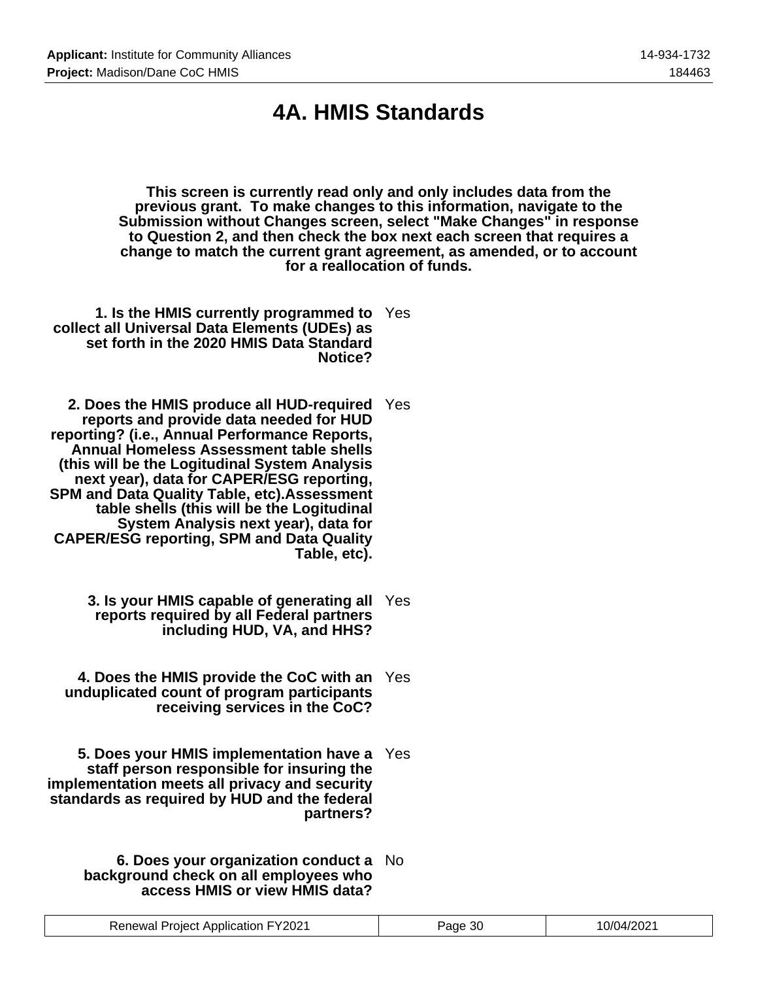# **4A. HMIS Standards**

**This screen is currently read only and only includes data from the previous grant. To make changes to this information, navigate to the Submission without Changes screen, select "Make Changes" in response to Question 2, and then check the box next each screen that requires a change to match the current grant agreement, as amended, or to account for a reallocation of funds.**

- **1. Is the HMIS currently programmed to** Yes **collect all Universal Data Elements (UDEs) as set forth in the 2020 HMIS Data Standard Notice?**
- **2. Does the HMIS produce all HUD-required** Yes **reports and provide data needed for HUD reporting? (i.e., Annual Performance Reports, Annual Homeless Assessment table shells (this will be the Logitudinal System Analysis next year), data for CAPER/ESG reporting, SPM and Data Quality Table, etc).Assessment table shells (this will be the Logitudinal System Analysis next year), data for CAPER/ESG reporting, SPM and Data Quality Table, etc).**
	- **3. Is your HMIS capable of generating all** Yes **reports required by all Federal partners including HUD, VA, and HHS?**
	- **4. Does the HMIS provide the CoC with an** Yes **unduplicated count of program participants receiving services in the CoC?**
- **5. Does your HMIS implementation have a** Yes **staff person responsible for insuring the implementation meets all privacy and security standards as required by HUD and the federal partners?**
	- **6. Does your organization conduct a** No **background check on all employees who access HMIS or view HMIS data?**

| FY2021<br><b>Renewal Project Application i</b> | Page<br>-30 | 10/04/2021 |
|------------------------------------------------|-------------|------------|
|                                                |             |            |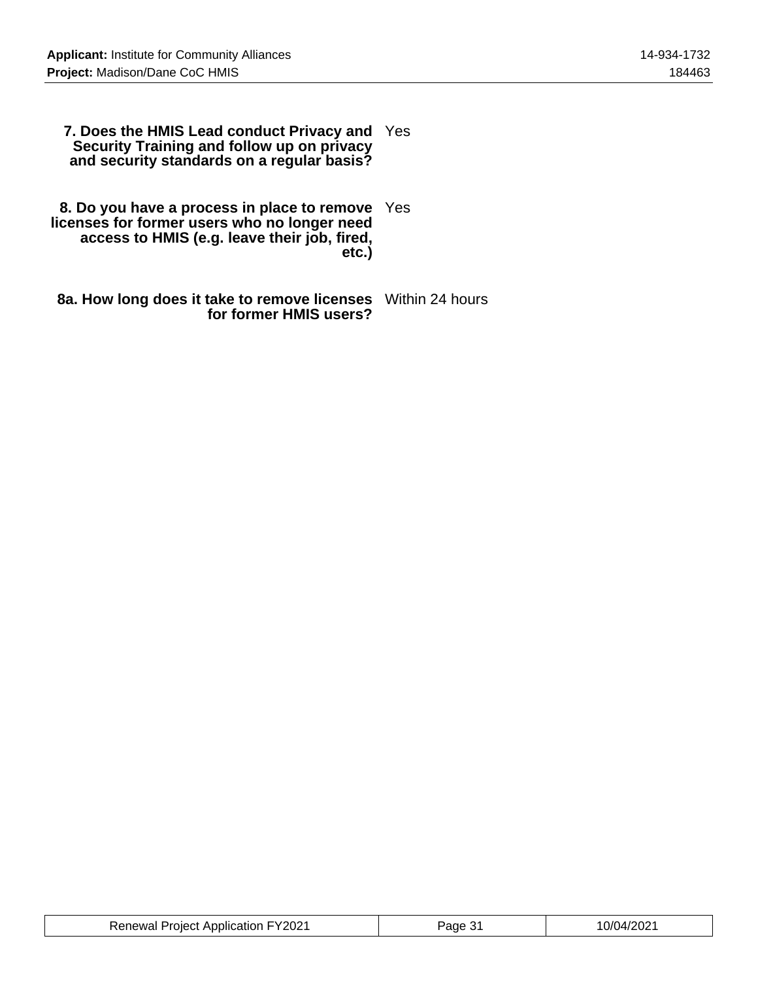| 7. Does the HMIS Lead conduct Privacy and Yes<br>Security Training and follow up on privacy<br>and security standards on a regular basis?                |  |
|----------------------------------------------------------------------------------------------------------------------------------------------------------|--|
| 8. Do you have a process in place to remove Yes<br>licenses for former users who no longer need<br>access to HMIS (e.g. leave their job, fired,<br>etc.) |  |
| 8a. How long does it take to remove licenses Within 24 hours                                                                                             |  |

**for former HMIS users?**

| FY2021<br>Project Application<br>Renewal<br>ene<br>______ |  |
|-----------------------------------------------------------|--|
|-----------------------------------------------------------|--|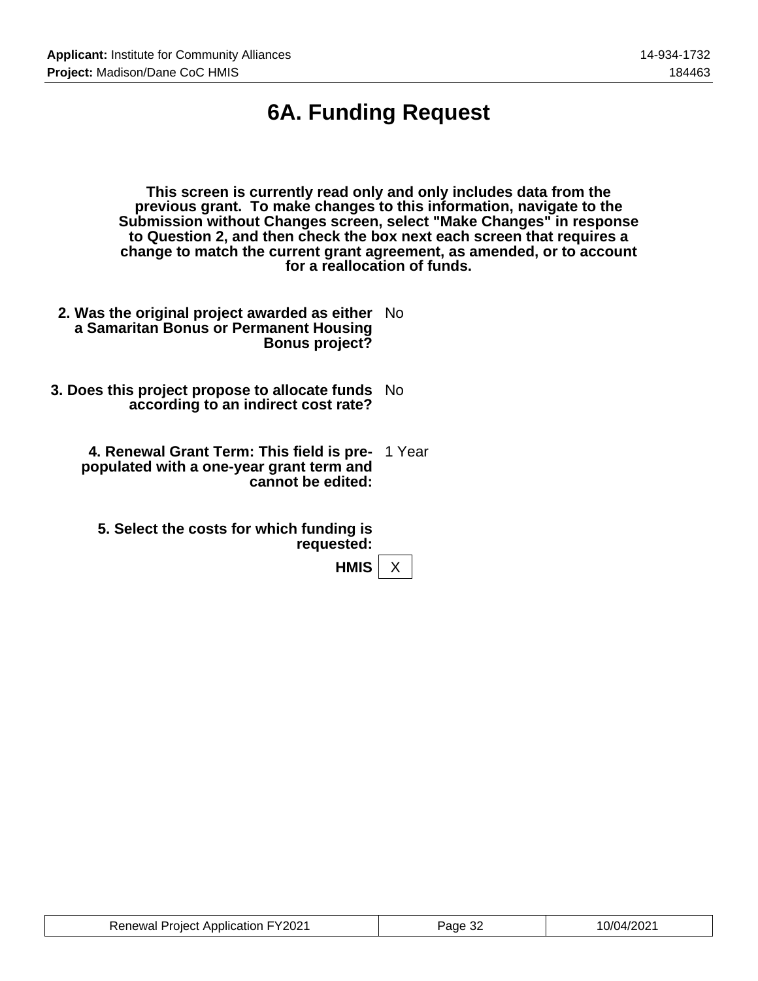# **6A. Funding Request**

**This screen is currently read only and only includes data from the previous grant. To make changes to this information, navigate to the Submission without Changes screen, select "Make Changes" in response to Question 2, and then check the box next each screen that requires a change to match the current grant agreement, as amended, or to account for a reallocation of funds.**

- **2. Was the original project awarded as either** No **a Samaritan Bonus or Permanent Housing Bonus project?**
- **3. Does this project propose to allocate funds** No **according to an indirect cost rate?**
	- **4. Renewal Grant Term: This field is pre-**1 Year **populated with a one-year grant term and cannot be edited:**
		- **5. Select the costs for which funding is requested:**

**HMIS**  $\vert$  X

| <b>Renewal Project Application FY2021</b> | Page 32 | 10/04/2021 |
|-------------------------------------------|---------|------------|
|-------------------------------------------|---------|------------|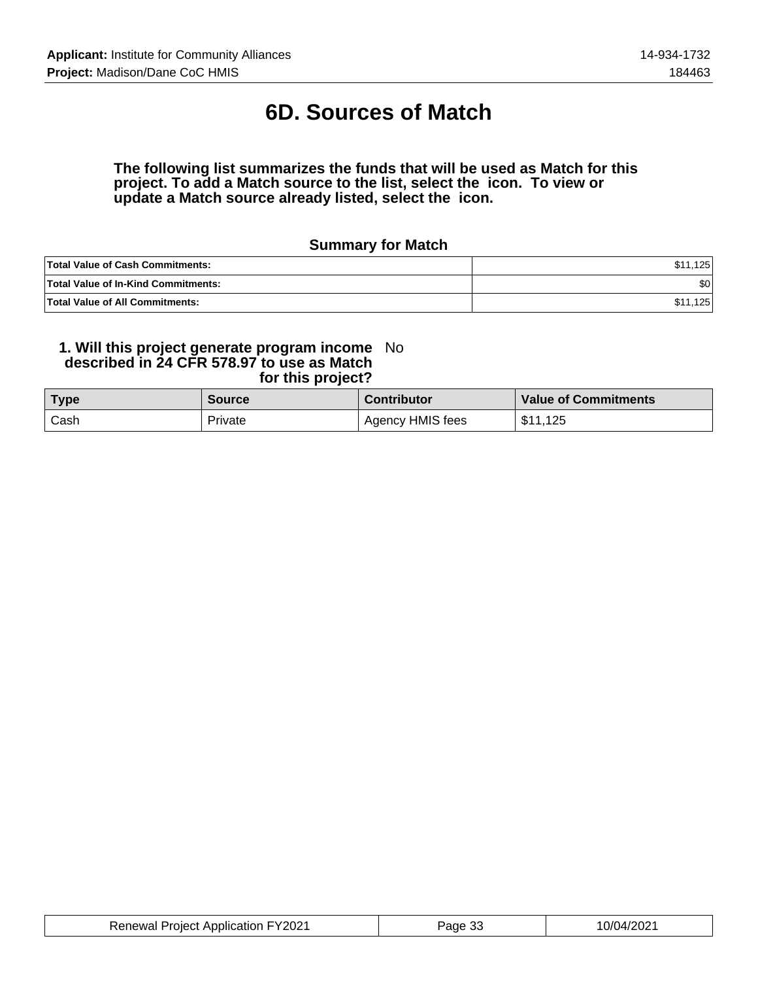# **6D. Sources of Match**

### **The following list summarizes the funds that will be used as Match for this project. To add a Match source to the list, select the icon. To view or update a Match source already listed, select the icon.**

### **Summary for Match**

| <b>Total Value of Cash Commitments:</b>    | \$1<br>.125 |
|--------------------------------------------|-------------|
| <b>Total Value of In-Kind Commitments:</b> | \$0         |
| <b>Total Value of All Commitments:</b>     | \$1<br>.125 |

#### **1. Will this project generate program income described in 24 CFR 578.97 to use as Match for this project?** No

| <b>Type</b> | <b>Source</b> | <b>Contributor</b> | <b>Value of Commitments</b> |
|-------------|---------------|--------------------|-----------------------------|
| Cash        | Private       | Agency HMIS fees   | \$11,125                    |

| <b>Renewal Project Application FY2021</b> | Page 33 | 10/04/2021 |
|-------------------------------------------|---------|------------|
|-------------------------------------------|---------|------------|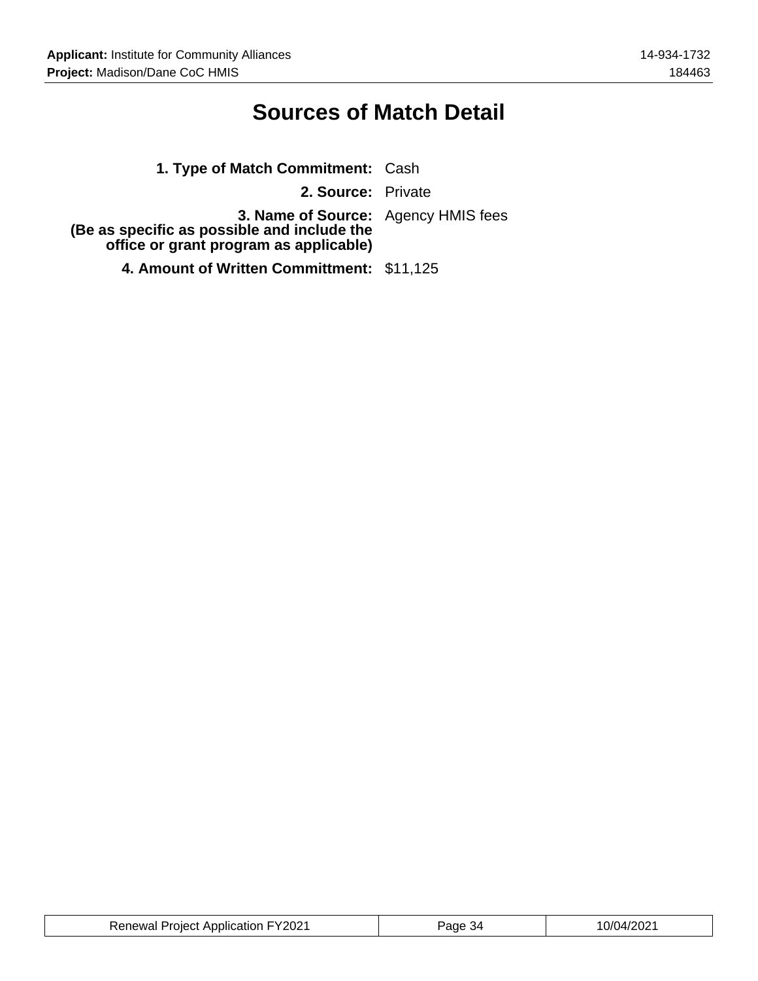## **Sources of Match Detail**

**1. Type of Match Commitment:** Cash **2. Source:** Private **3. Name of Source: (Be as specific as possible and include the office or grant program as applicable)** Agency HMIS fees **4. Amount of Written Committment:** \$11,125

| <b>Renewal Project Application FY2021</b> | Page 34 | 10/04/2021 |
|-------------------------------------------|---------|------------|
|-------------------------------------------|---------|------------|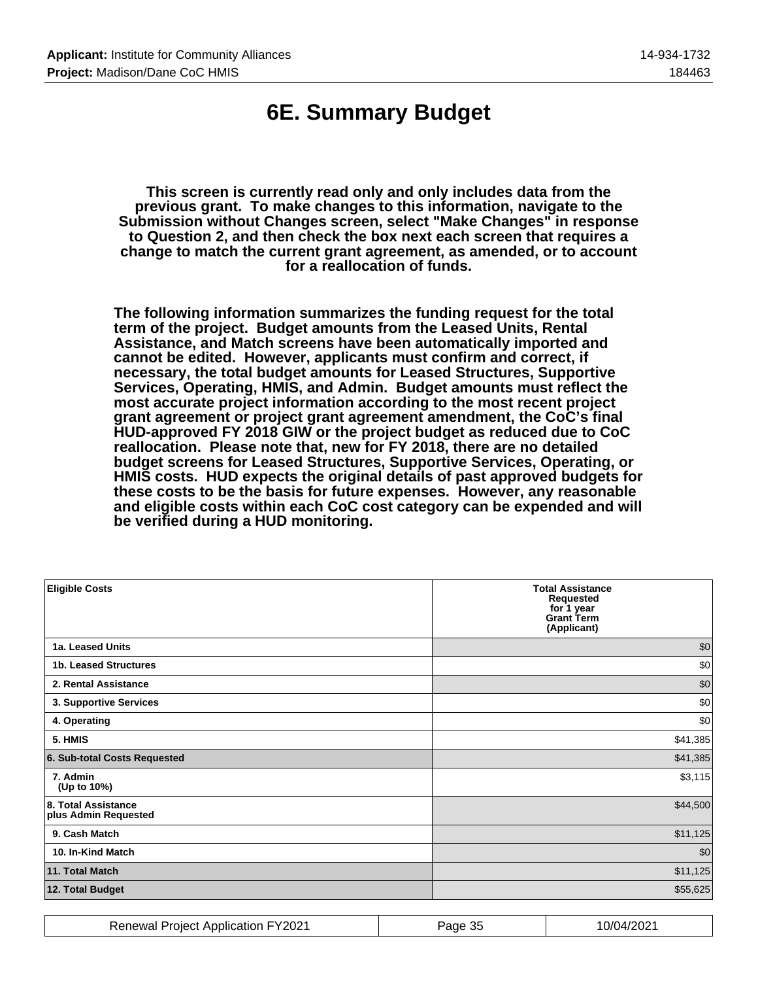# **6E. Summary Budget**

**This screen is currently read only and only includes data from the previous grant. To make changes to this information, navigate to the Submission without Changes screen, select "Make Changes" in response to Question 2, and then check the box next each screen that requires a change to match the current grant agreement, as amended, or to account for a reallocation of funds.**

**The following information summarizes the funding request for the total term of the project. Budget amounts from the Leased Units, Rental Assistance, and Match screens have been automatically imported and cannot be edited. However, applicants must confirm and correct, if necessary, the total budget amounts for Leased Structures, Supportive Services, Operating, HMIS, and Admin. Budget amounts must reflect the most accurate project information according to the most recent project grant agreement or project grant agreement amendment, the CoC's final HUD-approved FY 2018 GIW or the project budget as reduced due to CoC reallocation. Please note that, new for FY 2018, there are no detailed budget screens for Leased Structures, Supportive Services, Operating, or HMIS costs. HUD expects the original details of past approved budgets for these costs to be the basis for future expenses. However, any reasonable and eligible costs within each CoC cost category can be expended and will be verified during a HUD monitoring.**

| <b>Eligible Costs</b>                       | <b>Total Assistance</b><br><b>Requested</b><br>for 1 year<br><b>Grant Term</b><br>(Applicant) |
|---------------------------------------------|-----------------------------------------------------------------------------------------------|
| 1a. Leased Units                            | \$0                                                                                           |
| 1b. Leased Structures                       | \$0                                                                                           |
| 2. Rental Assistance                        | \$0                                                                                           |
| 3. Supportive Services                      | \$0                                                                                           |
| 4. Operating                                | \$0                                                                                           |
| 5. HMIS                                     | \$41,385                                                                                      |
| 6. Sub-total Costs Requested                | \$41,385                                                                                      |
| 7. Admin<br>(Up to 10%)                     | \$3,115                                                                                       |
| 8. Total Assistance<br>plus Admin Requested | \$44,500                                                                                      |
| 9. Cash Match                               | \$11,125                                                                                      |
| 10. In-Kind Match                           | \$0                                                                                           |
| 11. Total Match                             | \$11,125                                                                                      |
| 12. Total Budget                            | \$55,625                                                                                      |

| <b>Renewal Project Application FY2021</b> | Page 35 | 10/04/2021 |
|-------------------------------------------|---------|------------|
|-------------------------------------------|---------|------------|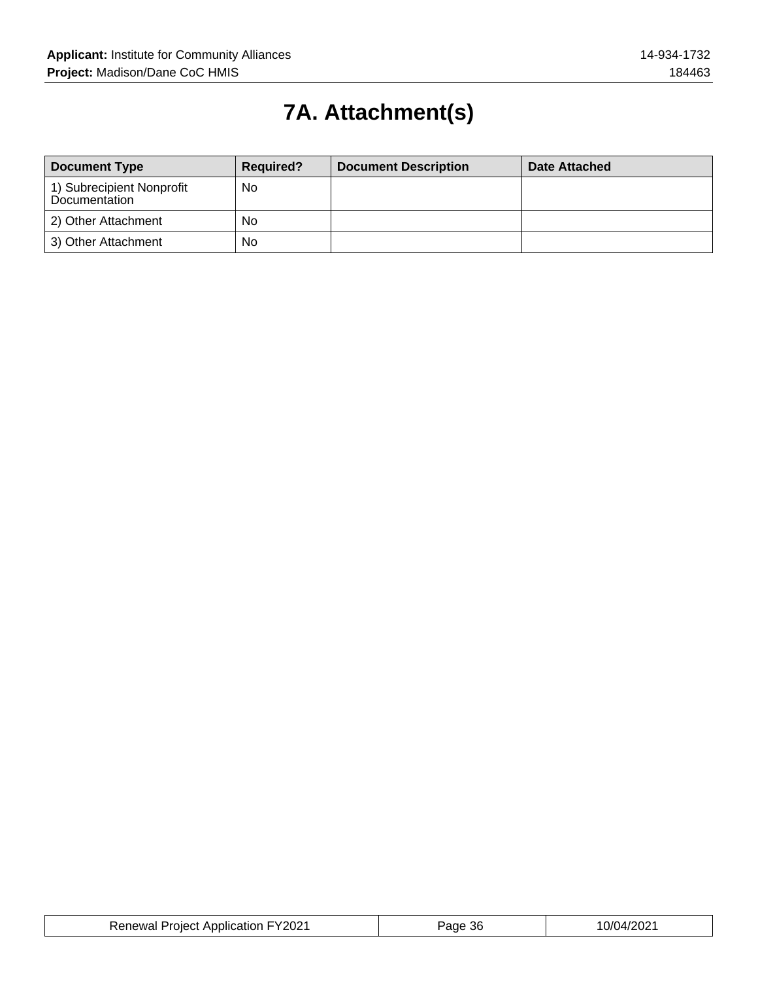# **7A. Attachment(s)**

| <b>Document Type</b>                       | <b>Required?</b> | <b>Document Description</b> | Date Attached |
|--------------------------------------------|------------------|-----------------------------|---------------|
| 1) Subrecipient Nonprofit<br>Documentation | No               |                             |               |
| 2) Other Attachment                        | No               |                             |               |
| 3) Other Attachment                        | No               |                             |               |

| <b>Renewal Project Application FY2021</b> | Page 36 | 10/04/2021 |
|-------------------------------------------|---------|------------|
|-------------------------------------------|---------|------------|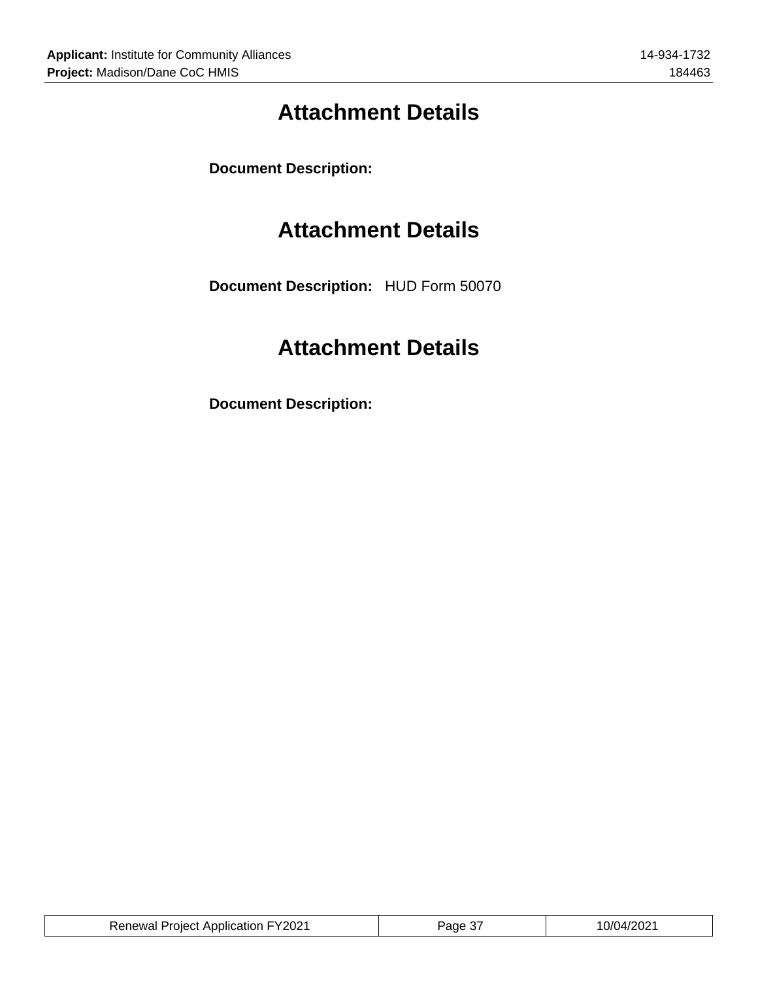# **Attachment Details**

**Document Description:**

## **Attachment Details**

**Document Description:** HUD Form 50070

# **Attachment Details**

**Document Description:**

| <b>Renewal Project Application FY2021</b> | Page ? <sup>-</sup> | 10/04/2021 |
|-------------------------------------------|---------------------|------------|
|                                           |                     |            |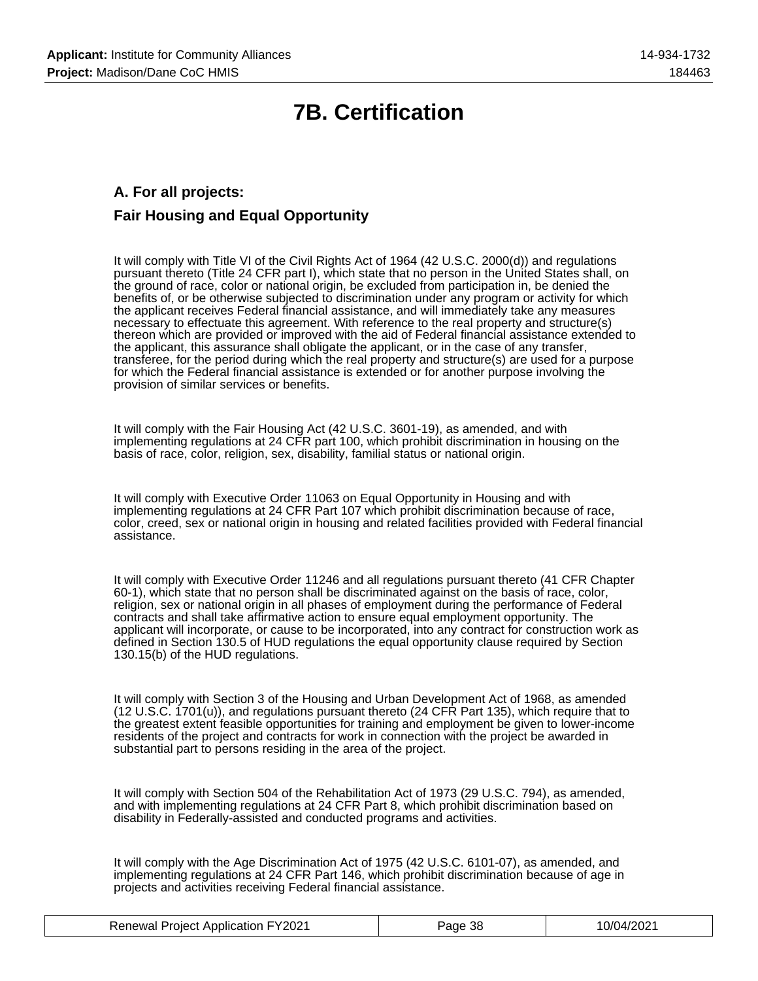# **7B. Certification**

## **A. For all projects: Fair Housing and Equal Opportunity**

It will comply with Title VI of the Civil Rights Act of 1964 (42 U.S.C. 2000(d)) and regulations pursuant thereto (Title 24 CFR part I), which state that no person in the United States shall, on the ground of race, color or national origin, be excluded from participation in, be denied the benefits of, or be otherwise subjected to discrimination under any program or activity for which the applicant receives Federal financial assistance, and will immediately take any measures necessary to effectuate this agreement. With reference to the real property and structure(s) thereon which are provided or improved with the aid of Federal financial assistance extended to the applicant, this assurance shall obligate the applicant, or in the case of any transfer, transferee, for the period during which the real property and structure(s) are used for a purpose for which the Federal financial assistance is extended or for another purpose involving the provision of similar services or benefits.

It will comply with the Fair Housing Act (42 U.S.C. 3601-19), as amended, and with implementing regulations at 24 CFR part 100, which prohibit discrimination in housing on the basis of race, color, religion, sex, disability, familial status or national origin.

It will comply with Executive Order 11063 on Equal Opportunity in Housing and with implementing regulations at 24 CFR Part 107 which prohibit discrimination because of race, color, creed, sex or national origin in housing and related facilities provided with Federal financial assistance.

It will comply with Executive Order 11246 and all regulations pursuant thereto (41 CFR Chapter 60-1), which state that no person shall be discriminated against on the basis of race, color, religion, sex or national origin in all phases of employment during the performance of Federal contracts and shall take affirmative action to ensure equal employment opportunity. The applicant will incorporate, or cause to be incorporated, into any contract for construction work as defined in Section 130.5 of HUD regulations the equal opportunity clause required by Section 130.15(b) of the HUD regulations.

It will comply with Section 3 of the Housing and Urban Development Act of 1968, as amended (12 U.S.C. 1701(u)), and regulations pursuant thereto (24 CFR Part 135), which require that to the greatest extent feasible opportunities for training and employment be given to lower-income residents of the project and contracts for work in connection with the project be awarded in substantial part to persons residing in the area of the project.

It will comply with Section 504 of the Rehabilitation Act of 1973 (29 U.S.C. 794), as amended, and with implementing regulations at 24 CFR Part 8, which prohibit discrimination based on disability in Federally-assisted and conducted programs and activities.

It will comply with the Age Discrimination Act of 1975 (42 U.S.C. 6101-07), as amended, and implementing regulations at 24 CFR Part 146, which prohibit discrimination because of age in projects and activities receiving Federal financial assistance.

| <b>Renewal Project Application FY2021</b> | Page 38 | 10/04/2021 |
|-------------------------------------------|---------|------------|
|-------------------------------------------|---------|------------|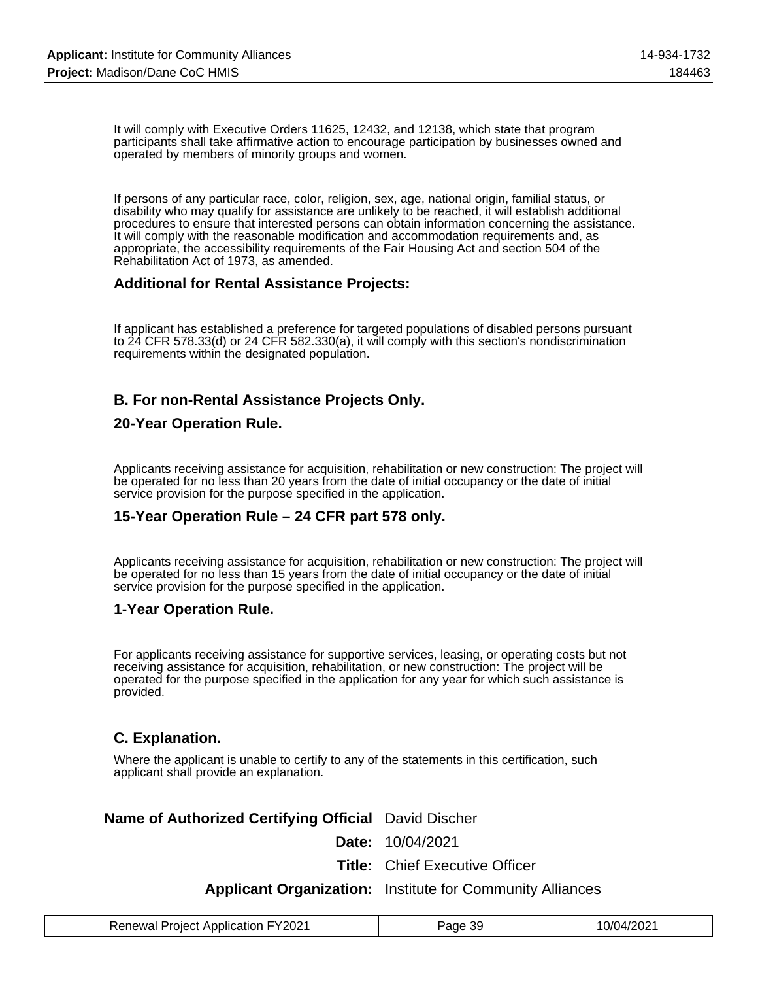It will comply with Executive Orders 11625, 12432, and 12138, which state that program participants shall take affirmative action to encourage participation by businesses owned and operated by members of minority groups and women.

If persons of any particular race, color, religion, sex, age, national origin, familial status, or disability who may qualify for assistance are unlikely to be reached, it will establish additional procedures to ensure that interested persons can obtain information concerning the assistance. It will comply with the reasonable modification and accommodation requirements and, as appropriate, the accessibility requirements of the Fair Housing Act and section 504 of the Rehabilitation Act of 1973, as amended.

### **Additional for Rental Assistance Projects:**

If applicant has established a preference for targeted populations of disabled persons pursuant to 24 CFR 578.33(d) or 24 CFR 582.330(a), it will comply with this section's nondiscrimination requirements within the designated population.

### **B. For non-Rental Assistance Projects Only.**

### **20-Year Operation Rule.**

Applicants receiving assistance for acquisition, rehabilitation or new construction: The project will be operated for no less than 20 years from the date of initial occupancy or the date of initial service provision for the purpose specified in the application.

### **15-Year Operation Rule – 24 CFR part 578 only.**

Applicants receiving assistance for acquisition, rehabilitation or new construction: The project will be operated for no less than 15 years from the date of initial occupancy or the date of initial service provision for the purpose specified in the application.

#### **1-Year Operation Rule.**

For applicants receiving assistance for supportive services, leasing, or operating costs but not receiving assistance for acquisition, rehabilitation, or new construction: The project will be operated for the purpose specified in the application for any year for which such assistance is provided.

### **C. Explanation.**

Where the applicant is unable to certify to any of the statements in this certification, such applicant shall provide an explanation.

### **Name of Authorized Certifying Official** David Discher

**Date:** 10/04/2021

**Title:** Chief Executive Officer

#### **Applicant Organization:** Institute for Community Alliances

| <b>Renewal Project Application FY2021</b> | Page 39 | 10/04/2021 |
|-------------------------------------------|---------|------------|
|-------------------------------------------|---------|------------|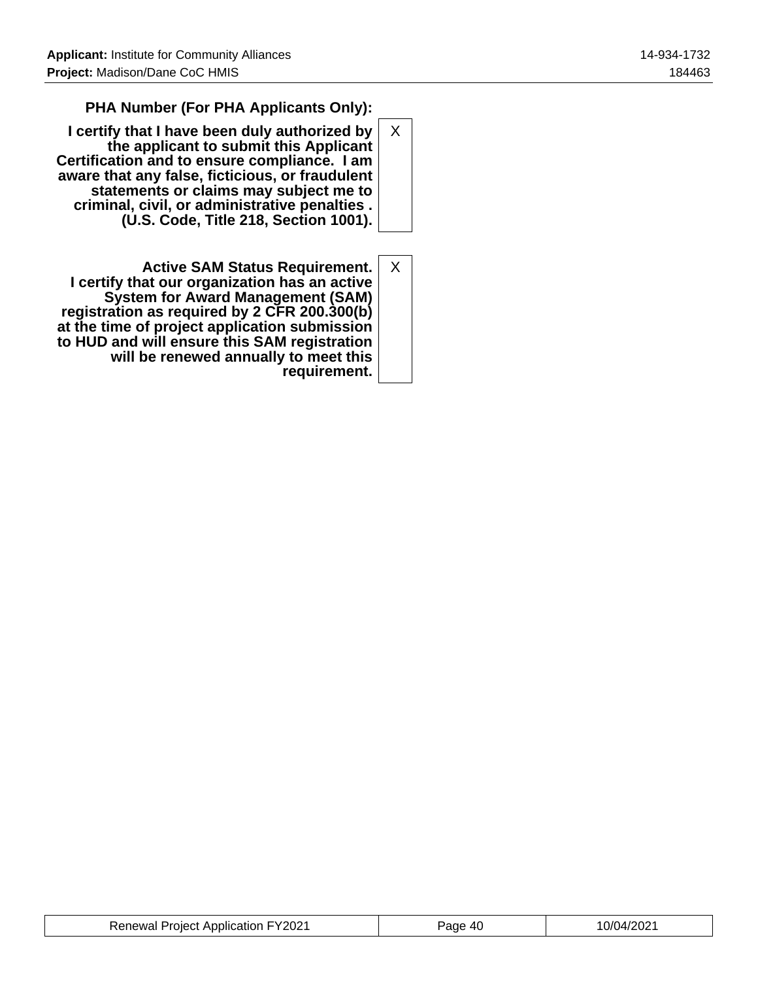### **PHA Number (For PHA Applicants Only):**

- **I certify that I have been duly authorized by the applicant to submit this Applicant Certification and to ensure compliance. I am aware that any false, ficticious, or fraudulent statements or claims may subject me to criminal, civil, or administrative penalties . (U.S. Code, Title 218, Section 1001).** X
- **Active SAM Status Requirement. I certify that our organization has an active System for Award Management (SAM) registration as required by 2 CFR 200.300(b) at the time of project application submission to HUD and will ensure this SAM registration will be renewed annually to meet this requirement.** X

| <b>Renewal Project Application FY2021</b> | Page 40 | 10/04/2021 |
|-------------------------------------------|---------|------------|
|-------------------------------------------|---------|------------|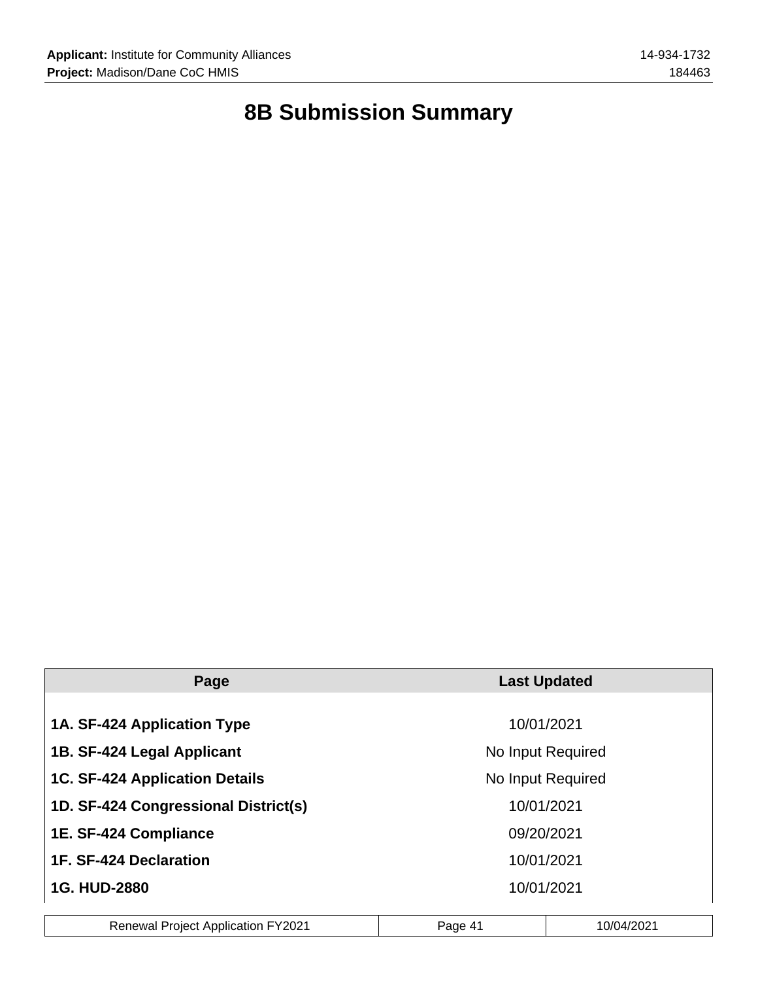# **8B Submission Summary**

| Page                                  | <b>Last Updated</b> |
|---------------------------------------|---------------------|
|                                       |                     |
| 1A. SF-424 Application Type           | 10/01/2021          |
| 1B. SF-424 Legal Applicant            | No Input Required   |
| <b>1C. SF-424 Application Details</b> | No Input Required   |
| 1D. SF-424 Congressional District(s)  | 10/01/2021          |
| 1E. SF-424 Compliance                 | 09/20/2021          |
| 1F. SF-424 Declaration                | 10/01/2021          |
| 1G. HUD-2880                          | 10/01/2021          |

| <b>Renewal Project Application FY2021</b> | Page 41 | 10/04/2021 |
|-------------------------------------------|---------|------------|
|-------------------------------------------|---------|------------|